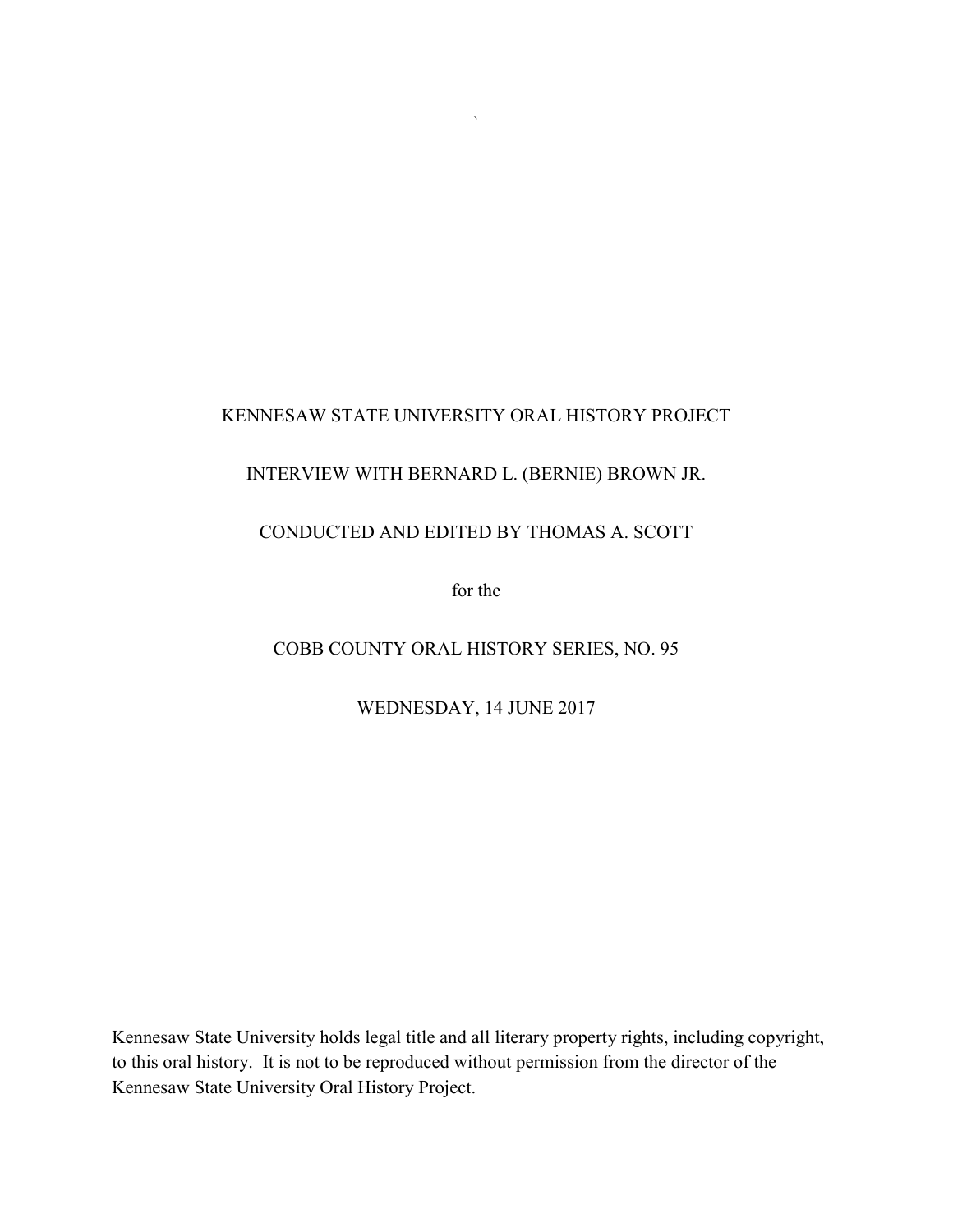# KENNESAW STATE UNIVERSITY ORAL HISTORY PROJECT

 $\bar{\mathbf{v}}$ 

# INTERVIEW WITH BERNARD L. (BERNIE) BROWN JR.

# CONDUCTED AND EDITED BY THOMAS A. SCOTT

for the

# COBB COUNTY ORAL HISTORY SERIES, NO. 95

WEDNESDAY, 14 JUNE 2017

Kennesaw State University holds legal title and all literary property rights, including copyright, to this oral history. It is not to be reproduced without permission from the director of the Kennesaw State University Oral History Project.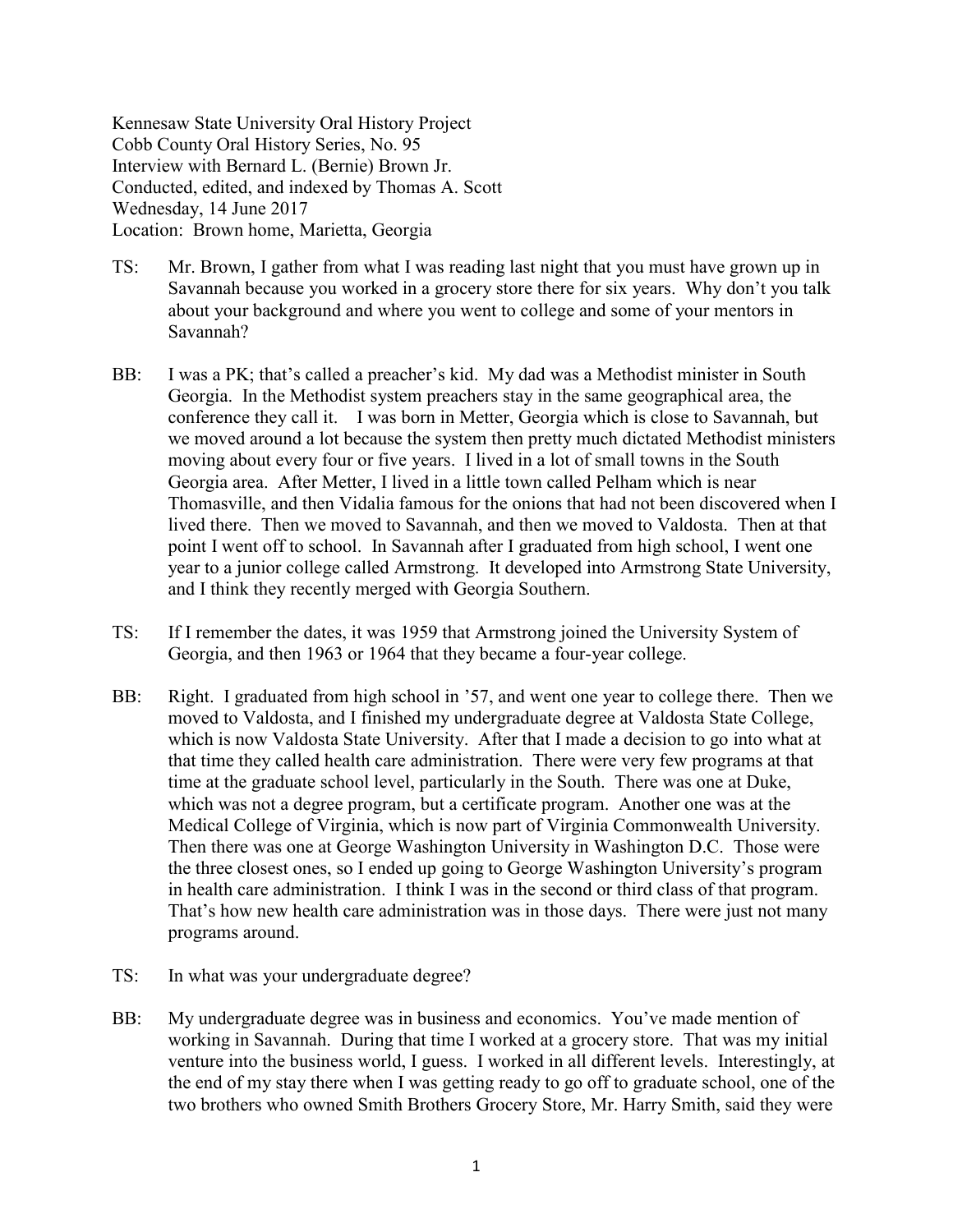Kennesaw State University Oral History Project Cobb County Oral History Series, No. 95 Interview with Bernard L. (Bernie) Brown Jr. Conducted, edited, and indexed by Thomas A. Scott Wednesday, 14 June 2017 Location: Brown home, Marietta, Georgia

- TS: Mr. Brown, I gather from what I was reading last night that you must have grown up in Savannah because you worked in a grocery store there for six years. Why don't you talk about your background and where you went to college and some of your mentors in Savannah?
- BB: I was a PK; that's called a preacher's kid. My dad was a Methodist minister in South Georgia. In the Methodist system preachers stay in the same geographical area, the conference they call it. I was born in Metter, Georgia which is close to Savannah, but we moved around a lot because the system then pretty much dictated Methodist ministers moving about every four or five years. I lived in a lot of small towns in the South Georgia area. After Metter, I lived in a little town called Pelham which is near Thomasville, and then Vidalia famous for the onions that had not been discovered when I lived there. Then we moved to Savannah, and then we moved to Valdosta. Then at that point I went off to school. In Savannah after I graduated from high school, I went one year to a junior college called Armstrong. It developed into Armstrong State University, and I think they recently merged with Georgia Southern.
- TS: If I remember the dates, it was 1959 that Armstrong joined the University System of Georgia, and then 1963 or 1964 that they became a four-year college.
- BB: Right. I graduated from high school in '57, and went one year to college there. Then we moved to Valdosta, and I finished my undergraduate degree at Valdosta State College, which is now Valdosta State University. After that I made a decision to go into what at that time they called health care administration. There were very few programs at that time at the graduate school level, particularly in the South. There was one at Duke, which was not a degree program, but a certificate program. Another one was at the Medical College of Virginia, which is now part of Virginia Commonwealth University. Then there was one at George Washington University in Washington D.C. Those were the three closest ones, so I ended up going to George Washington University's program in health care administration. I think I was in the second or third class of that program. That's how new health care administration was in those days. There were just not many programs around.
- TS: In what was your undergraduate degree?
- BB: My undergraduate degree was in business and economics. You've made mention of working in Savannah. During that time I worked at a grocery store. That was my initial venture into the business world, I guess. I worked in all different levels. Interestingly, at the end of my stay there when I was getting ready to go off to graduate school, one of the two brothers who owned Smith Brothers Grocery Store, Mr. Harry Smith, said they were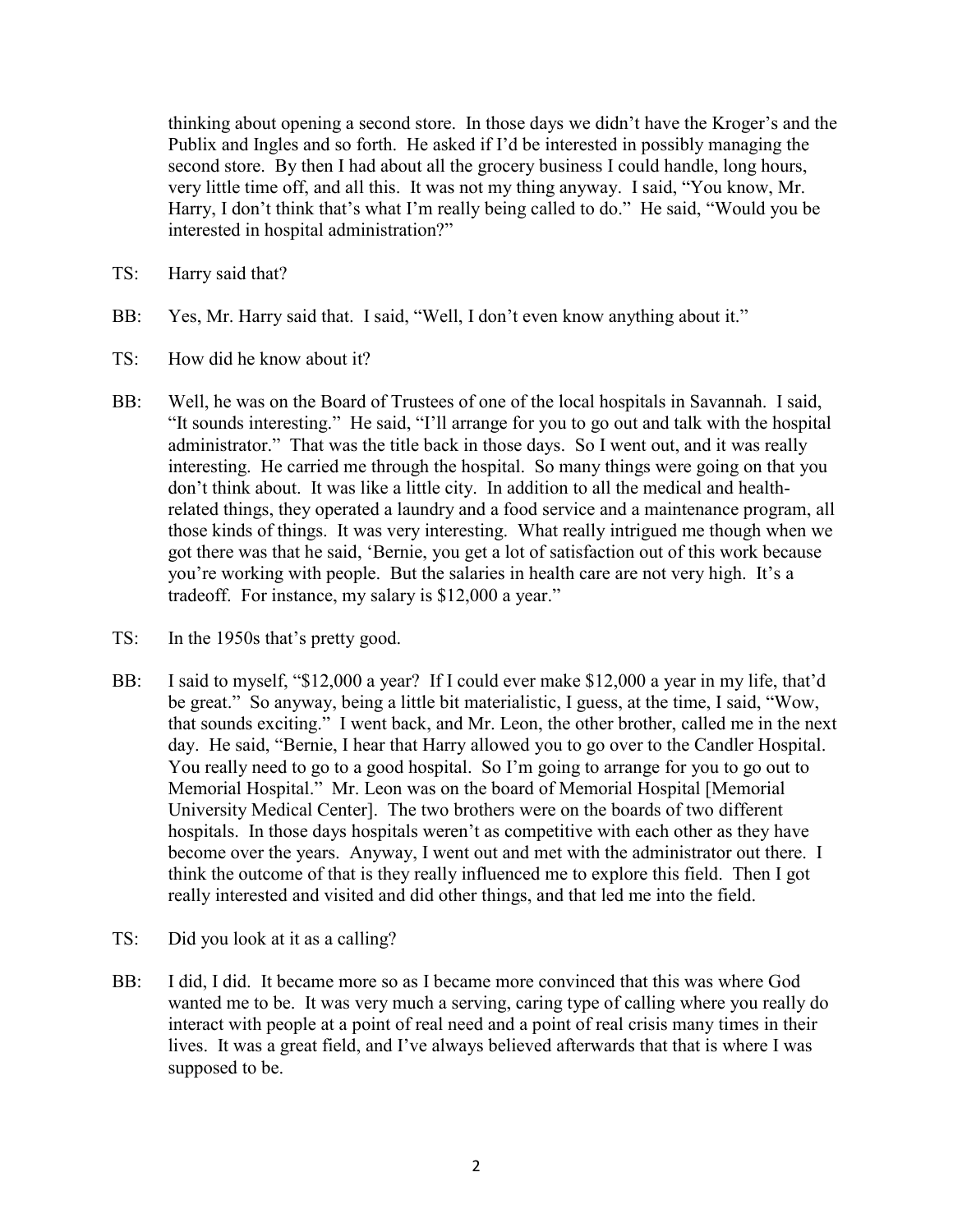thinking about opening a second store. In those days we didn't have the Kroger's and the Publix and Ingles and so forth. He asked if I'd be interested in possibly managing the second store. By then I had about all the grocery business I could handle, long hours, very little time off, and all this. It was not my thing anyway. I said, "You know, Mr. Harry, I don't think that's what I'm really being called to do." He said, "Would you be interested in hospital administration?"

- TS: Harry said that?
- BB: Yes, Mr. Harry said that. I said, "Well, I don't even know anything about it."
- TS: How did he know about it?
- BB: Well, he was on the Board of Trustees of one of the local hospitals in Savannah. I said, "It sounds interesting." He said, "I'll arrange for you to go out and talk with the hospital administrator." That was the title back in those days. So I went out, and it was really interesting. He carried me through the hospital. So many things were going on that you don't think about. It was like a little city. In addition to all the medical and healthrelated things, they operated a laundry and a food service and a maintenance program, all those kinds of things. It was very interesting. What really intrigued me though when we got there was that he said, 'Bernie, you get a lot of satisfaction out of this work because you're working with people. But the salaries in health care are not very high. It's a tradeoff. For instance, my salary is \$12,000 a year."
- TS: In the 1950s that's pretty good.
- BB: I said to myself, "\$12,000 a year? If I could ever make \$12,000 a year in my life, that'd be great." So anyway, being a little bit materialistic, I guess, at the time, I said, "Wow, that sounds exciting." I went back, and Mr. Leon, the other brother, called me in the next day. He said, "Bernie, I hear that Harry allowed you to go over to the Candler Hospital. You really need to go to a good hospital. So I'm going to arrange for you to go out to Memorial Hospital." Mr. Leon was on the board of Memorial Hospital [Memorial University Medical Center]. The two brothers were on the boards of two different hospitals. In those days hospitals weren't as competitive with each other as they have become over the years. Anyway, I went out and met with the administrator out there. I think the outcome of that is they really influenced me to explore this field. Then I got really interested and visited and did other things, and that led me into the field.
- TS: Did you look at it as a calling?
- BB: I did, I did. It became more so as I became more convinced that this was where God wanted me to be. It was very much a serving, caring type of calling where you really do interact with people at a point of real need and a point of real crisis many times in their lives. It was a great field, and I've always believed afterwards that that is where I was supposed to be.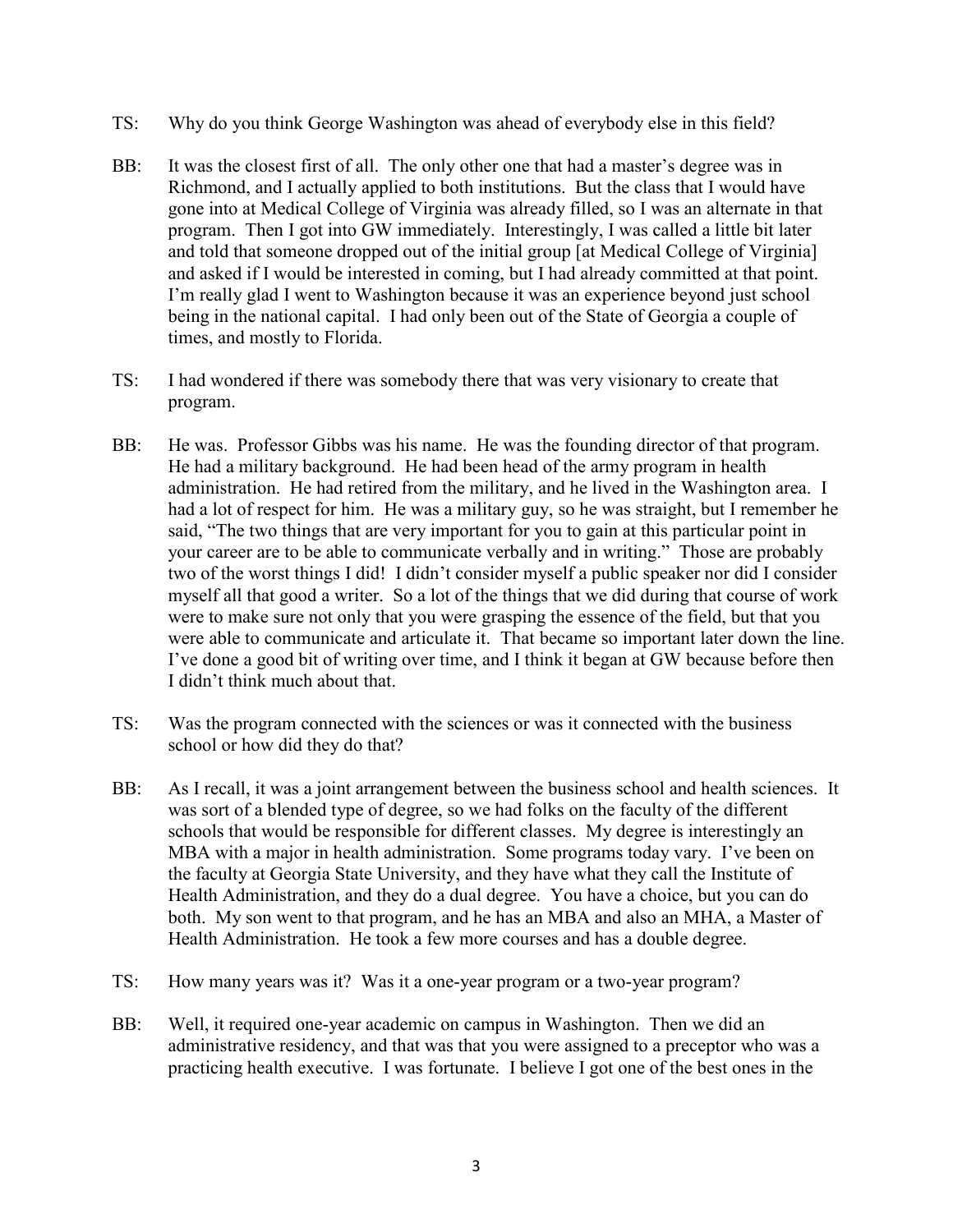- TS: Why do you think George Washington was ahead of everybody else in this field?
- BB: It was the closest first of all. The only other one that had a master's degree was in Richmond, and I actually applied to both institutions. But the class that I would have gone into at Medical College of Virginia was already filled, so I was an alternate in that program. Then I got into GW immediately. Interestingly, I was called a little bit later and told that someone dropped out of the initial group [at Medical College of Virginia] and asked if I would be interested in coming, but I had already committed at that point. I'm really glad I went to Washington because it was an experience beyond just school being in the national capital. I had only been out of the State of Georgia a couple of times, and mostly to Florida.
- TS: I had wondered if there was somebody there that was very visionary to create that program.
- BB: He was. Professor Gibbs was his name. He was the founding director of that program. He had a military background. He had been head of the army program in health administration. He had retired from the military, and he lived in the Washington area. I had a lot of respect for him. He was a military guy, so he was straight, but I remember he said, "The two things that are very important for you to gain at this particular point in your career are to be able to communicate verbally and in writing." Those are probably two of the worst things I did! I didn't consider myself a public speaker nor did I consider myself all that good a writer. So a lot of the things that we did during that course of work were to make sure not only that you were grasping the essence of the field, but that you were able to communicate and articulate it. That became so important later down the line. I've done a good bit of writing over time, and I think it began at GW because before then I didn't think much about that.
- TS: Was the program connected with the sciences or was it connected with the business school or how did they do that?
- BB: As I recall, it was a joint arrangement between the business school and health sciences. It was sort of a blended type of degree, so we had folks on the faculty of the different schools that would be responsible for different classes. My degree is interestingly an MBA with a major in health administration. Some programs today vary. I've been on the faculty at Georgia State University, and they have what they call the Institute of Health Administration, and they do a dual degree. You have a choice, but you can do both. My son went to that program, and he has an MBA and also an MHA, a Master of Health Administration. He took a few more courses and has a double degree.
- TS: How many years was it? Was it a one-year program or a two-year program?
- BB: Well, it required one-year academic on campus in Washington. Then we did an administrative residency, and that was that you were assigned to a preceptor who was a practicing health executive. I was fortunate. I believe I got one of the best ones in the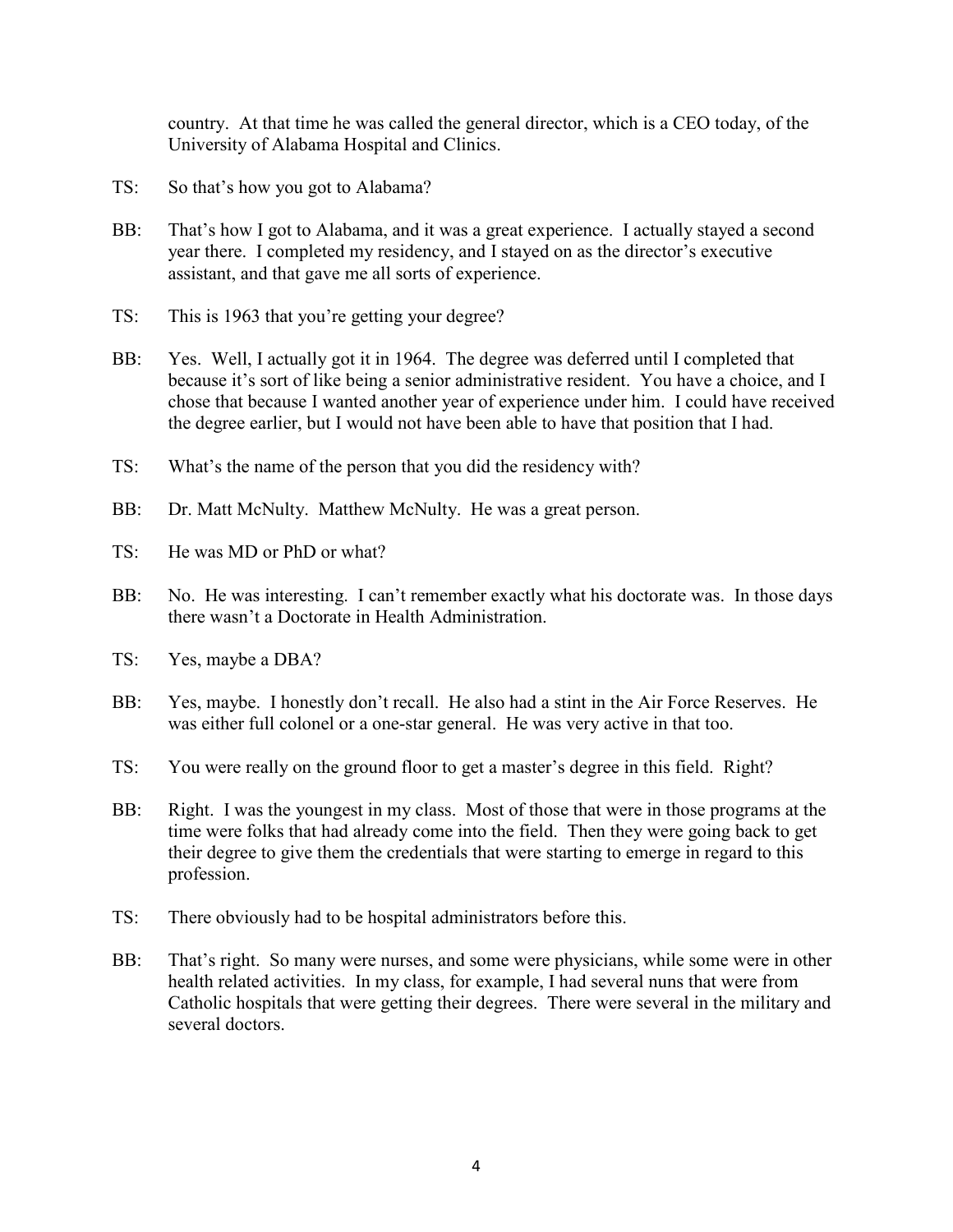country. At that time he was called the general director, which is a CEO today, of the University of Alabama Hospital and Clinics.

- TS: So that's how you got to Alabama?
- BB: That's how I got to Alabama, and it was a great experience. I actually stayed a second year there. I completed my residency, and I stayed on as the director's executive assistant, and that gave me all sorts of experience.
- TS: This is 1963 that you're getting your degree?
- BB: Yes. Well, I actually got it in 1964. The degree was deferred until I completed that because it's sort of like being a senior administrative resident. You have a choice, and I chose that because I wanted another year of experience under him. I could have received the degree earlier, but I would not have been able to have that position that I had.
- TS: What's the name of the person that you did the residency with?
- BB: Dr. Matt McNulty. Matthew McNulty. He was a great person.
- TS: He was MD or PhD or what?
- BB: No. He was interesting. I can't remember exactly what his doctorate was. In those days there wasn't a Doctorate in Health Administration.
- TS: Yes, maybe a DBA?
- BB: Yes, maybe. I honestly don't recall. He also had a stint in the Air Force Reserves. He was either full colonel or a one-star general. He was very active in that too.
- TS: You were really on the ground floor to get a master's degree in this field. Right?
- BB: Right. I was the youngest in my class. Most of those that were in those programs at the time were folks that had already come into the field. Then they were going back to get their degree to give them the credentials that were starting to emerge in regard to this profession.
- TS: There obviously had to be hospital administrators before this.
- BB: That's right. So many were nurses, and some were physicians, while some were in other health related activities. In my class, for example, I had several nuns that were from Catholic hospitals that were getting their degrees. There were several in the military and several doctors.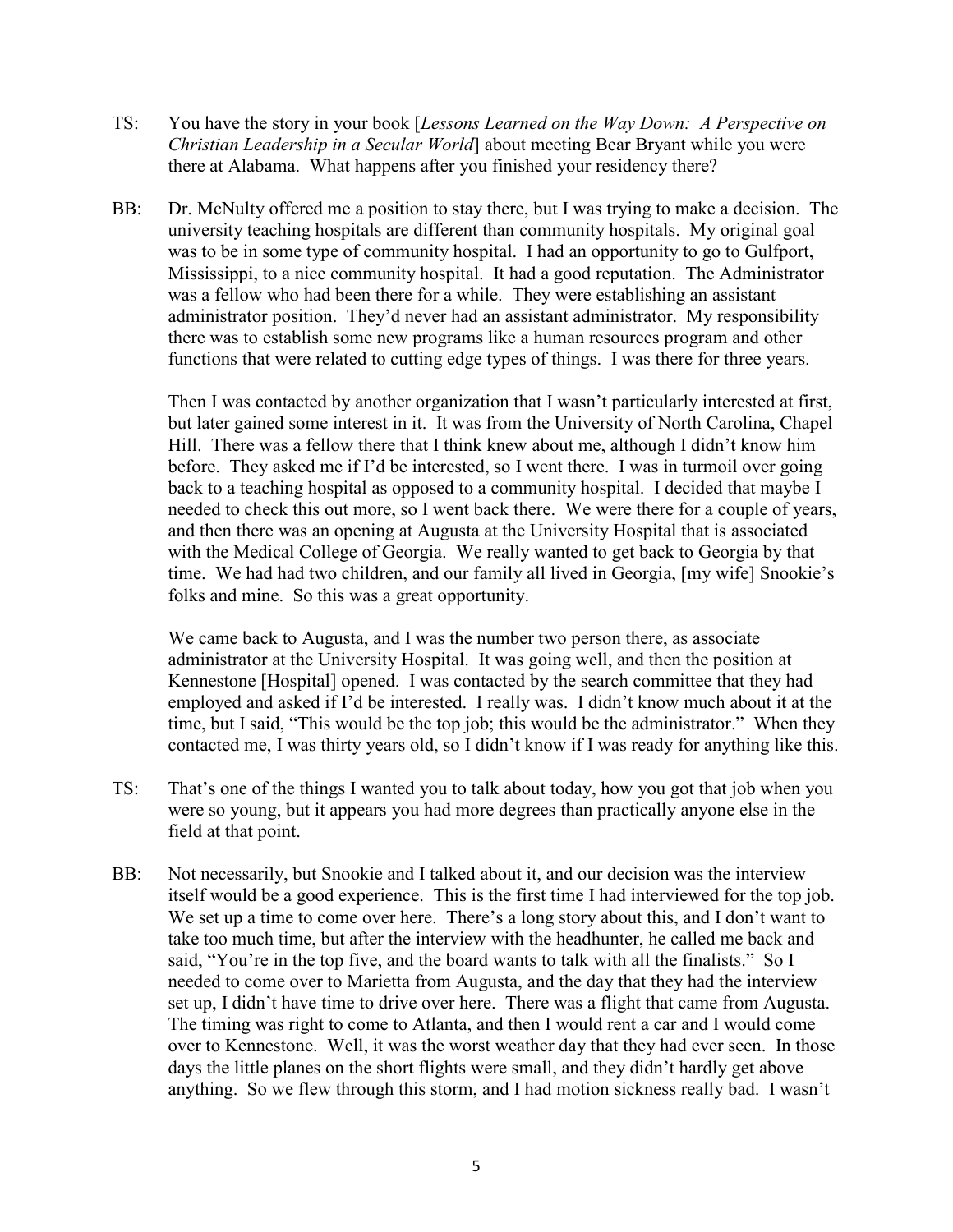- TS: You have the story in your book [*Lessons Learned on the Way Down: A Perspective on Christian Leadership in a Secular World*] about meeting Bear Bryant while you were there at Alabama. What happens after you finished your residency there?
- BB: Dr. McNulty offered me a position to stay there, but I was trying to make a decision. The university teaching hospitals are different than community hospitals. My original goal was to be in some type of community hospital. I had an opportunity to go to Gulfport, Mississippi, to a nice community hospital. It had a good reputation. The Administrator was a fellow who had been there for a while. They were establishing an assistant administrator position. They'd never had an assistant administrator. My responsibility there was to establish some new programs like a human resources program and other functions that were related to cutting edge types of things. I was there for three years.

Then I was contacted by another organization that I wasn't particularly interested at first, but later gained some interest in it. It was from the University of North Carolina, Chapel Hill. There was a fellow there that I think knew about me, although I didn't know him before. They asked me if I'd be interested, so I went there. I was in turmoil over going back to a teaching hospital as opposed to a community hospital. I decided that maybe I needed to check this out more, so I went back there. We were there for a couple of years, and then there was an opening at Augusta at the University Hospital that is associated with the Medical College of Georgia. We really wanted to get back to Georgia by that time. We had had two children, and our family all lived in Georgia, [my wife] Snookie's folks and mine. So this was a great opportunity.

We came back to Augusta, and I was the number two person there, as associate administrator at the University Hospital. It was going well, and then the position at Kennestone [Hospital] opened. I was contacted by the search committee that they had employed and asked if I'd be interested. I really was. I didn't know much about it at the time, but I said, "This would be the top job; this would be the administrator." When they contacted me, I was thirty years old, so I didn't know if I was ready for anything like this.

- TS: That's one of the things I wanted you to talk about today, how you got that job when you were so young, but it appears you had more degrees than practically anyone else in the field at that point.
- BB: Not necessarily, but Snookie and I talked about it, and our decision was the interview itself would be a good experience. This is the first time I had interviewed for the top job. We set up a time to come over here. There's a long story about this, and I don't want to take too much time, but after the interview with the headhunter, he called me back and said, "You're in the top five, and the board wants to talk with all the finalists." So I needed to come over to Marietta from Augusta, and the day that they had the interview set up, I didn't have time to drive over here. There was a flight that came from Augusta. The timing was right to come to Atlanta, and then I would rent a car and I would come over to Kennestone. Well, it was the worst weather day that they had ever seen. In those days the little planes on the short flights were small, and they didn't hardly get above anything. So we flew through this storm, and I had motion sickness really bad. I wasn't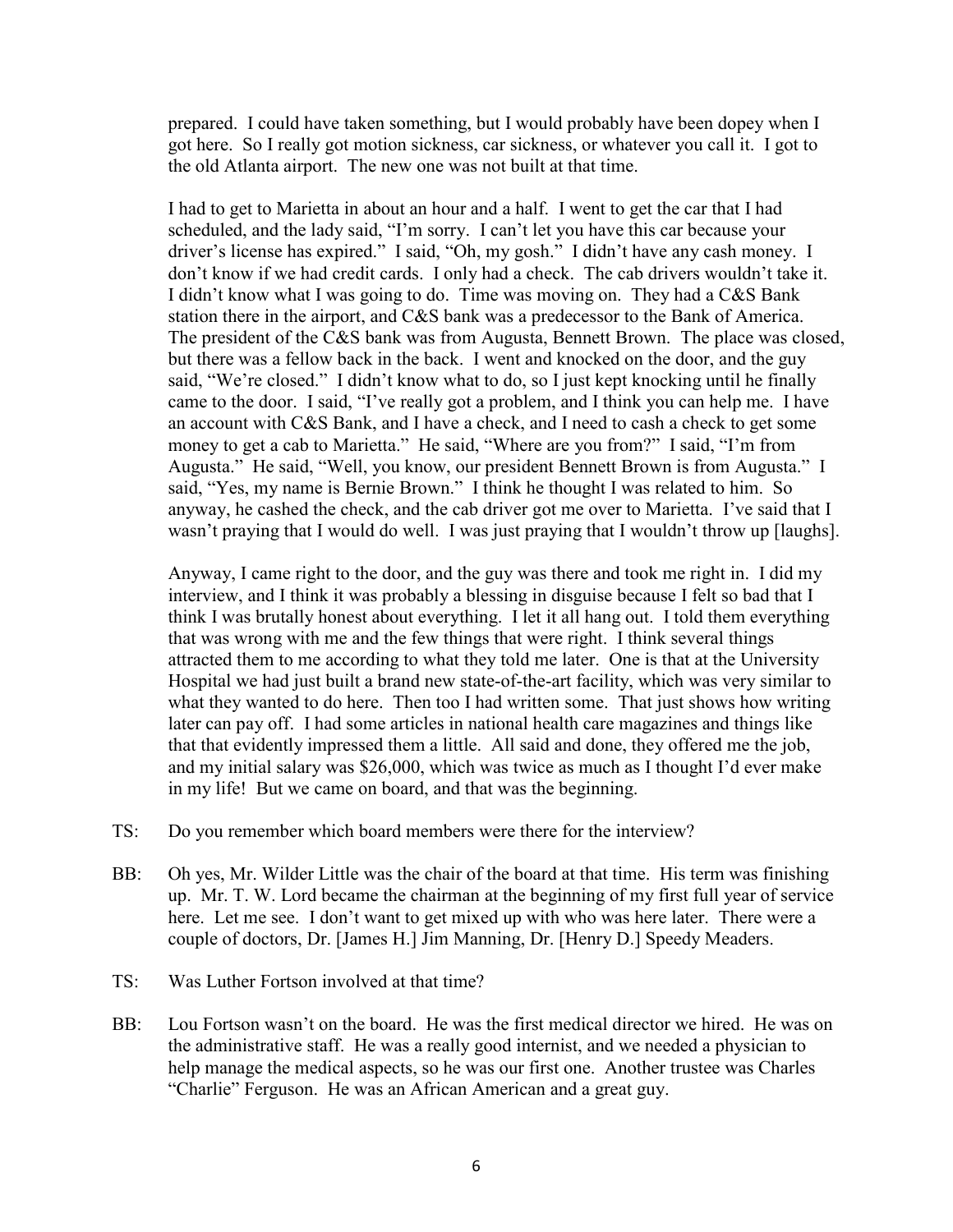prepared. I could have taken something, but I would probably have been dopey when I got here. So I really got motion sickness, car sickness, or whatever you call it. I got to the old Atlanta airport. The new one was not built at that time.

I had to get to Marietta in about an hour and a half. I went to get the car that I had scheduled, and the lady said, "I'm sorry. I can't let you have this car because your driver's license has expired." I said, "Oh, my gosh." I didn't have any cash money. I don't know if we had credit cards. I only had a check. The cab drivers wouldn't take it. I didn't know what I was going to do. Time was moving on. They had a C&S Bank station there in the airport, and C&S bank was a predecessor to the Bank of America. The president of the C&S bank was from Augusta, Bennett Brown. The place was closed, but there was a fellow back in the back. I went and knocked on the door, and the guy said, "We're closed." I didn't know what to do, so I just kept knocking until he finally came to the door. I said, "I've really got a problem, and I think you can help me. I have an account with C&S Bank, and I have a check, and I need to cash a check to get some money to get a cab to Marietta." He said, "Where are you from?" I said, "I'm from Augusta." He said, "Well, you know, our president Bennett Brown is from Augusta." I said, "Yes, my name is Bernie Brown." I think he thought I was related to him. So anyway, he cashed the check, and the cab driver got me over to Marietta. I've said that I wasn't praying that I would do well. I was just praying that I wouldn't throw up [laughs].

Anyway, I came right to the door, and the guy was there and took me right in. I did my interview, and I think it was probably a blessing in disguise because I felt so bad that I think I was brutally honest about everything. I let it all hang out. I told them everything that was wrong with me and the few things that were right. I think several things attracted them to me according to what they told me later. One is that at the University Hospital we had just built a brand new state-of-the-art facility, which was very similar to what they wanted to do here. Then too I had written some. That just shows how writing later can pay off. I had some articles in national health care magazines and things like that that evidently impressed them a little. All said and done, they offered me the job, and my initial salary was \$26,000, which was twice as much as I thought I'd ever make in my life! But we came on board, and that was the beginning.

- TS: Do you remember which board members were there for the interview?
- BB: Oh yes, Mr. Wilder Little was the chair of the board at that time. His term was finishing up. Mr. T. W. Lord became the chairman at the beginning of my first full year of service here. Let me see. I don't want to get mixed up with who was here later. There were a couple of doctors, Dr. [James H.] Jim Manning, Dr. [Henry D.] Speedy Meaders.
- TS: Was Luther Fortson involved at that time?
- BB: Lou Fortson wasn't on the board. He was the first medical director we hired. He was on the administrative staff. He was a really good internist, and we needed a physician to help manage the medical aspects, so he was our first one. Another trustee was Charles "Charlie" Ferguson. He was an African American and a great guy.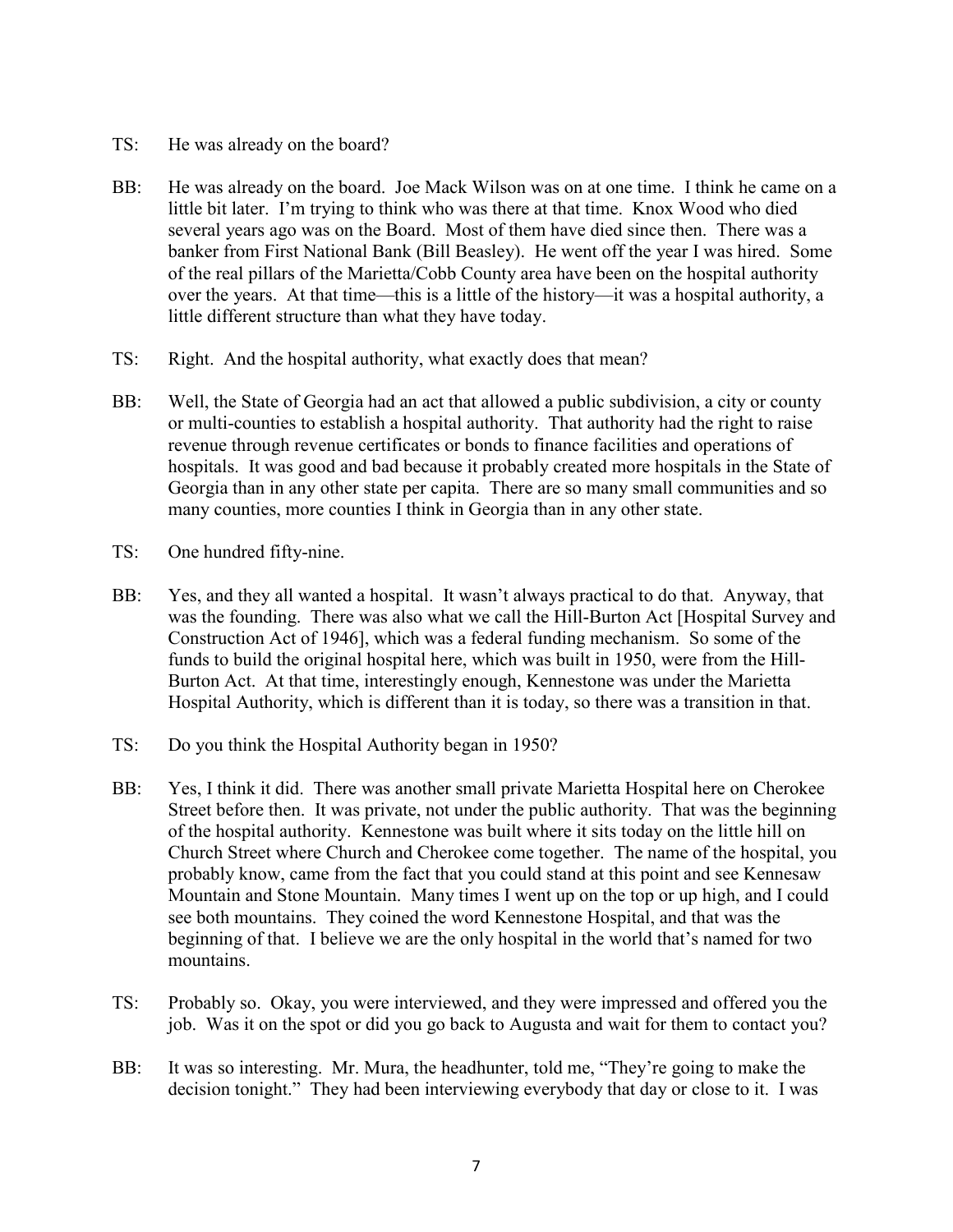- TS: He was already on the board?
- BB: He was already on the board. Joe Mack Wilson was on at one time. I think he came on a little bit later. I'm trying to think who was there at that time. Knox Wood who died several years ago was on the Board. Most of them have died since then. There was a banker from First National Bank (Bill Beasley). He went off the year I was hired. Some of the real pillars of the Marietta/Cobb County area have been on the hospital authority over the years. At that time—this is a little of the history—it was a hospital authority, a little different structure than what they have today.
- TS: Right. And the hospital authority, what exactly does that mean?
- BB: Well, the State of Georgia had an act that allowed a public subdivision, a city or county or multi-counties to establish a hospital authority. That authority had the right to raise revenue through revenue certificates or bonds to finance facilities and operations of hospitals. It was good and bad because it probably created more hospitals in the State of Georgia than in any other state per capita. There are so many small communities and so many counties, more counties I think in Georgia than in any other state.
- TS: One hundred fifty-nine.
- BB: Yes, and they all wanted a hospital. It wasn't always practical to do that. Anyway, that was the founding. There was also what we call the Hill-Burton Act [Hospital Survey and Construction Act of 1946], which was a federal funding mechanism. So some of the funds to build the original hospital here, which was built in 1950, were from the Hill-Burton Act. At that time, interestingly enough, Kennestone was under the Marietta Hospital Authority, which is different than it is today, so there was a transition in that.
- TS: Do you think the Hospital Authority began in 1950?
- BB: Yes, I think it did. There was another small private Marietta Hospital here on Cherokee Street before then. It was private, not under the public authority. That was the beginning of the hospital authority. Kennestone was built where it sits today on the little hill on Church Street where Church and Cherokee come together. The name of the hospital, you probably know, came from the fact that you could stand at this point and see Kennesaw Mountain and Stone Mountain. Many times I went up on the top or up high, and I could see both mountains. They coined the word Kennestone Hospital, and that was the beginning of that. I believe we are the only hospital in the world that's named for two mountains.
- TS: Probably so. Okay, you were interviewed, and they were impressed and offered you the job. Was it on the spot or did you go back to Augusta and wait for them to contact you?
- BB: It was so interesting. Mr. Mura, the headhunter, told me, "They're going to make the decision tonight." They had been interviewing everybody that day or close to it. I was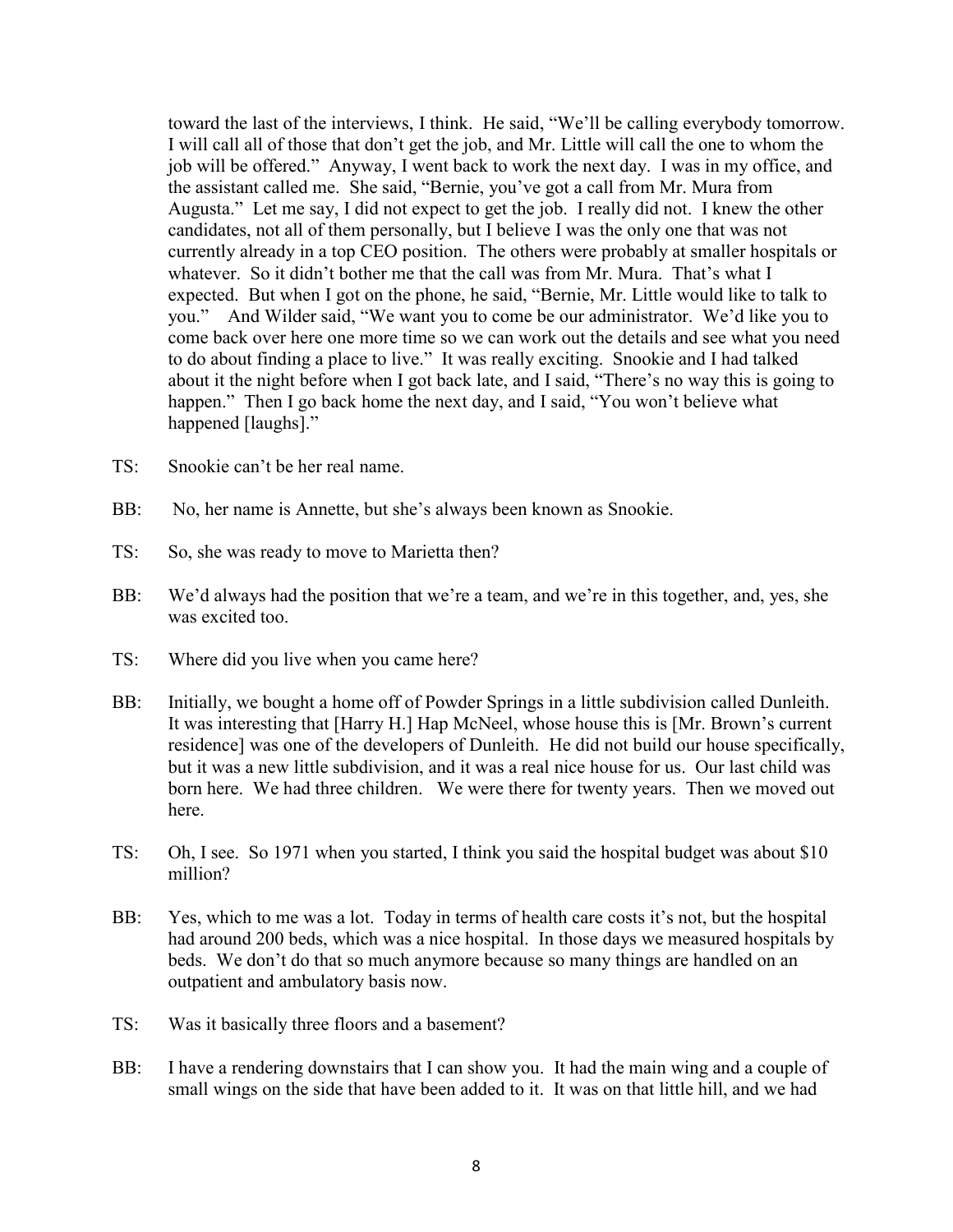toward the last of the interviews, I think. He said, "We'll be calling everybody tomorrow. I will call all of those that don't get the job, and Mr. Little will call the one to whom the job will be offered." Anyway, I went back to work the next day. I was in my office, and the assistant called me. She said, "Bernie, you've got a call from Mr. Mura from Augusta." Let me say, I did not expect to get the job. I really did not. I knew the other candidates, not all of them personally, but I believe I was the only one that was not currently already in a top CEO position. The others were probably at smaller hospitals or whatever. So it didn't bother me that the call was from Mr. Mura. That's what I expected. But when I got on the phone, he said, "Bernie, Mr. Little would like to talk to you." And Wilder said, "We want you to come be our administrator. We'd like you to come back over here one more time so we can work out the details and see what you need to do about finding a place to live." It was really exciting. Snookie and I had talked about it the night before when I got back late, and I said, "There's no way this is going to happen." Then I go back home the next day, and I said, "You won't believe what happened [laughs]."

- TS: Snookie can't be her real name.
- BB: No, her name is Annette, but she's always been known as Snookie.
- TS: So, she was ready to move to Marietta then?
- BB: We'd always had the position that we're a team, and we're in this together, and, yes, she was excited too.
- TS: Where did you live when you came here?
- BB: Initially, we bought a home off of Powder Springs in a little subdivision called Dunleith. It was interesting that [Harry H.] Hap McNeel, whose house this is [Mr. Brown's current residence] was one of the developers of Dunleith. He did not build our house specifically, but it was a new little subdivision, and it was a real nice house for us. Our last child was born here. We had three children. We were there for twenty years. Then we moved out here.
- TS: Oh, I see. So 1971 when you started, I think you said the hospital budget was about \$10 million?
- BB: Yes, which to me was a lot. Today in terms of health care costs it's not, but the hospital had around 200 beds, which was a nice hospital. In those days we measured hospitals by beds. We don't do that so much anymore because so many things are handled on an outpatient and ambulatory basis now.
- TS: Was it basically three floors and a basement?
- BB: I have a rendering downstairs that I can show you. It had the main wing and a couple of small wings on the side that have been added to it. It was on that little hill, and we had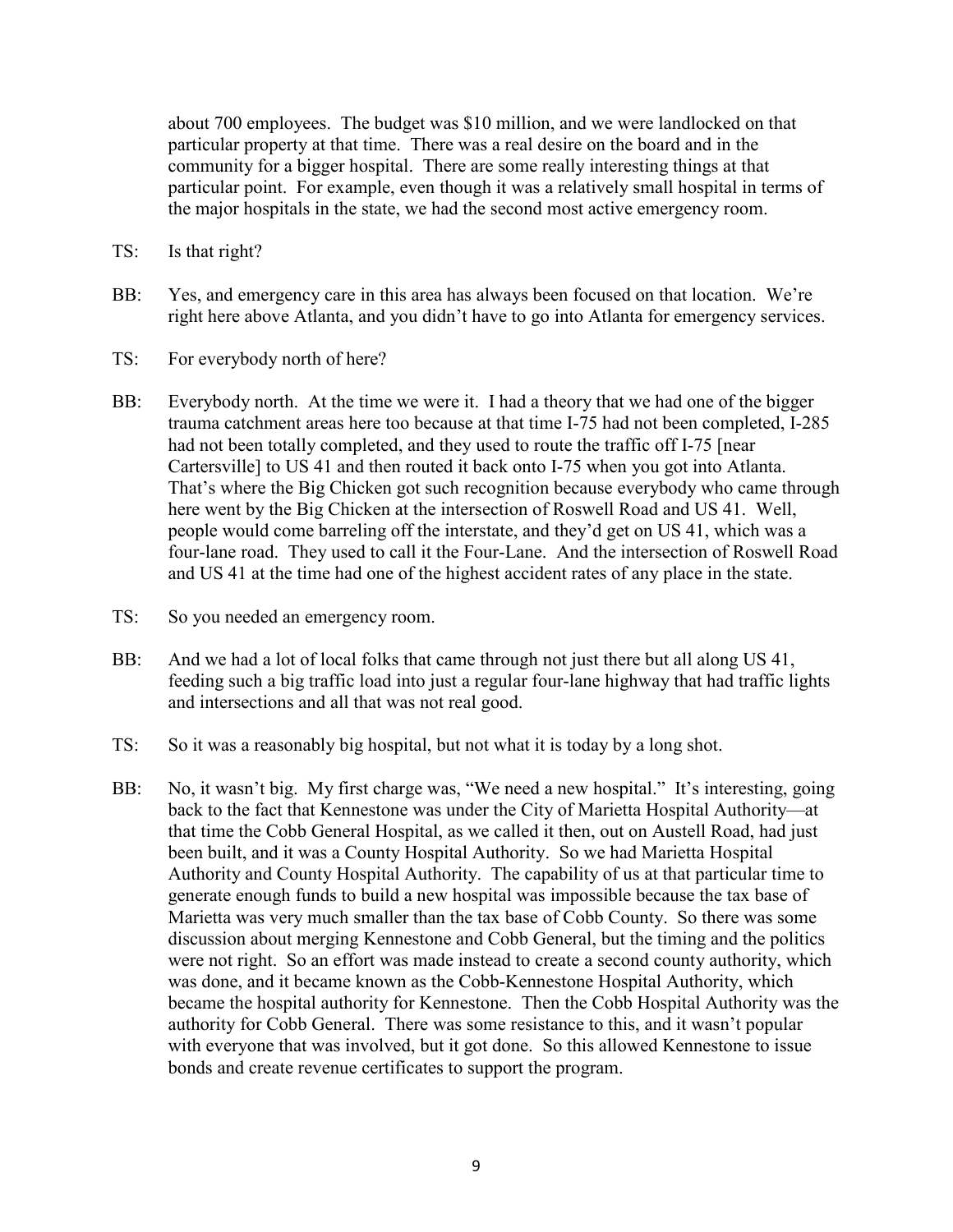about 700 employees. The budget was \$10 million, and we were landlocked on that particular property at that time. There was a real desire on the board and in the community for a bigger hospital. There are some really interesting things at that particular point. For example, even though it was a relatively small hospital in terms of the major hospitals in the state, we had the second most active emergency room.

- TS: Is that right?
- BB: Yes, and emergency care in this area has always been focused on that location. We're right here above Atlanta, and you didn't have to go into Atlanta for emergency services.
- TS: For everybody north of here?
- BB: Everybody north. At the time we were it. I had a theory that we had one of the bigger trauma catchment areas here too because at that time I-75 had not been completed, I-285 had not been totally completed, and they used to route the traffic off I-75 [near Cartersville] to US 41 and then routed it back onto I-75 when you got into Atlanta. That's where the Big Chicken got such recognition because everybody who came through here went by the Big Chicken at the intersection of Roswell Road and US 41. Well, people would come barreling off the interstate, and they'd get on US 41, which was a four-lane road. They used to call it the Four-Lane. And the intersection of Roswell Road and US 41 at the time had one of the highest accident rates of any place in the state.
- TS: So you needed an emergency room.
- BB: And we had a lot of local folks that came through not just there but all along US 41, feeding such a big traffic load into just a regular four-lane highway that had traffic lights and intersections and all that was not real good.
- TS: So it was a reasonably big hospital, but not what it is today by a long shot.
- BB: No, it wasn't big. My first charge was, "We need a new hospital." It's interesting, going back to the fact that Kennestone was under the City of Marietta Hospital Authority—at that time the Cobb General Hospital, as we called it then, out on Austell Road, had just been built, and it was a County Hospital Authority. So we had Marietta Hospital Authority and County Hospital Authority. The capability of us at that particular time to generate enough funds to build a new hospital was impossible because the tax base of Marietta was very much smaller than the tax base of Cobb County. So there was some discussion about merging Kennestone and Cobb General, but the timing and the politics were not right. So an effort was made instead to create a second county authority, which was done, and it became known as the Cobb-Kennestone Hospital Authority, which became the hospital authority for Kennestone. Then the Cobb Hospital Authority was the authority for Cobb General. There was some resistance to this, and it wasn't popular with everyone that was involved, but it got done. So this allowed Kennestone to issue bonds and create revenue certificates to support the program.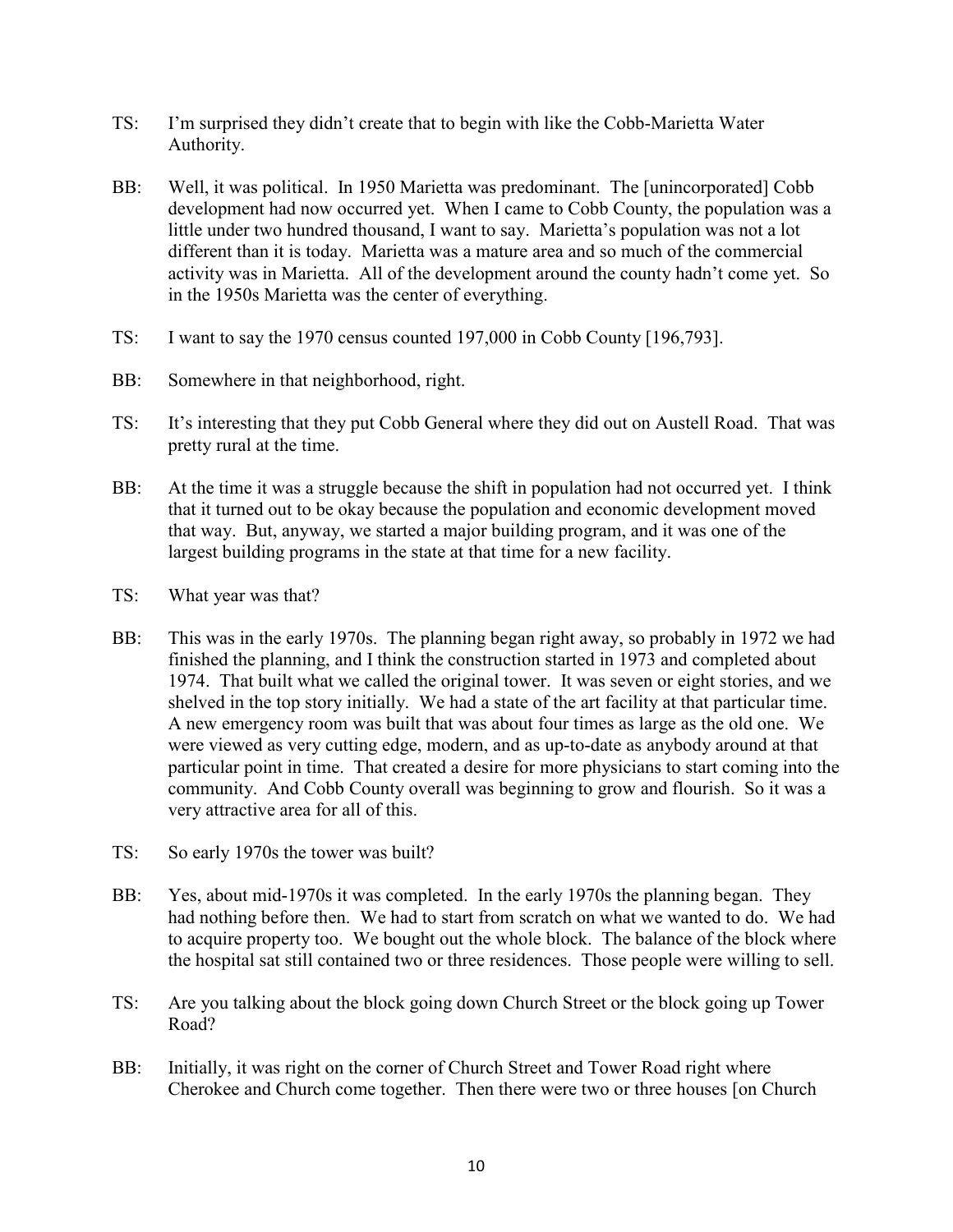- TS: I'm surprised they didn't create that to begin with like the Cobb-Marietta Water Authority.
- BB: Well, it was political. In 1950 Marietta was predominant. The [unincorporated] Cobb development had now occurred yet. When I came to Cobb County, the population was a little under two hundred thousand, I want to say. Marietta's population was not a lot different than it is today. Marietta was a mature area and so much of the commercial activity was in Marietta. All of the development around the county hadn't come yet. So in the 1950s Marietta was the center of everything.
- TS: I want to say the 1970 census counted 197,000 in Cobb County [196,793].
- BB: Somewhere in that neighborhood, right.
- TS: It's interesting that they put Cobb General where they did out on Austell Road. That was pretty rural at the time.
- BB: At the time it was a struggle because the shift in population had not occurred yet. I think that it turned out to be okay because the population and economic development moved that way. But, anyway, we started a major building program, and it was one of the largest building programs in the state at that time for a new facility.
- TS: What year was that?
- BB: This was in the early 1970s. The planning began right away, so probably in 1972 we had finished the planning, and I think the construction started in 1973 and completed about 1974. That built what we called the original tower. It was seven or eight stories, and we shelved in the top story initially. We had a state of the art facility at that particular time. A new emergency room was built that was about four times as large as the old one. We were viewed as very cutting edge, modern, and as up-to-date as anybody around at that particular point in time. That created a desire for more physicians to start coming into the community. And Cobb County overall was beginning to grow and flourish. So it was a very attractive area for all of this.
- TS: So early 1970s the tower was built?
- BB: Yes, about mid-1970s it was completed. In the early 1970s the planning began. They had nothing before then. We had to start from scratch on what we wanted to do. We had to acquire property too. We bought out the whole block. The balance of the block where the hospital sat still contained two or three residences. Those people were willing to sell.
- TS: Are you talking about the block going down Church Street or the block going up Tower Road?
- BB: Initially, it was right on the corner of Church Street and Tower Road right where Cherokee and Church come together. Then there were two or three houses [on Church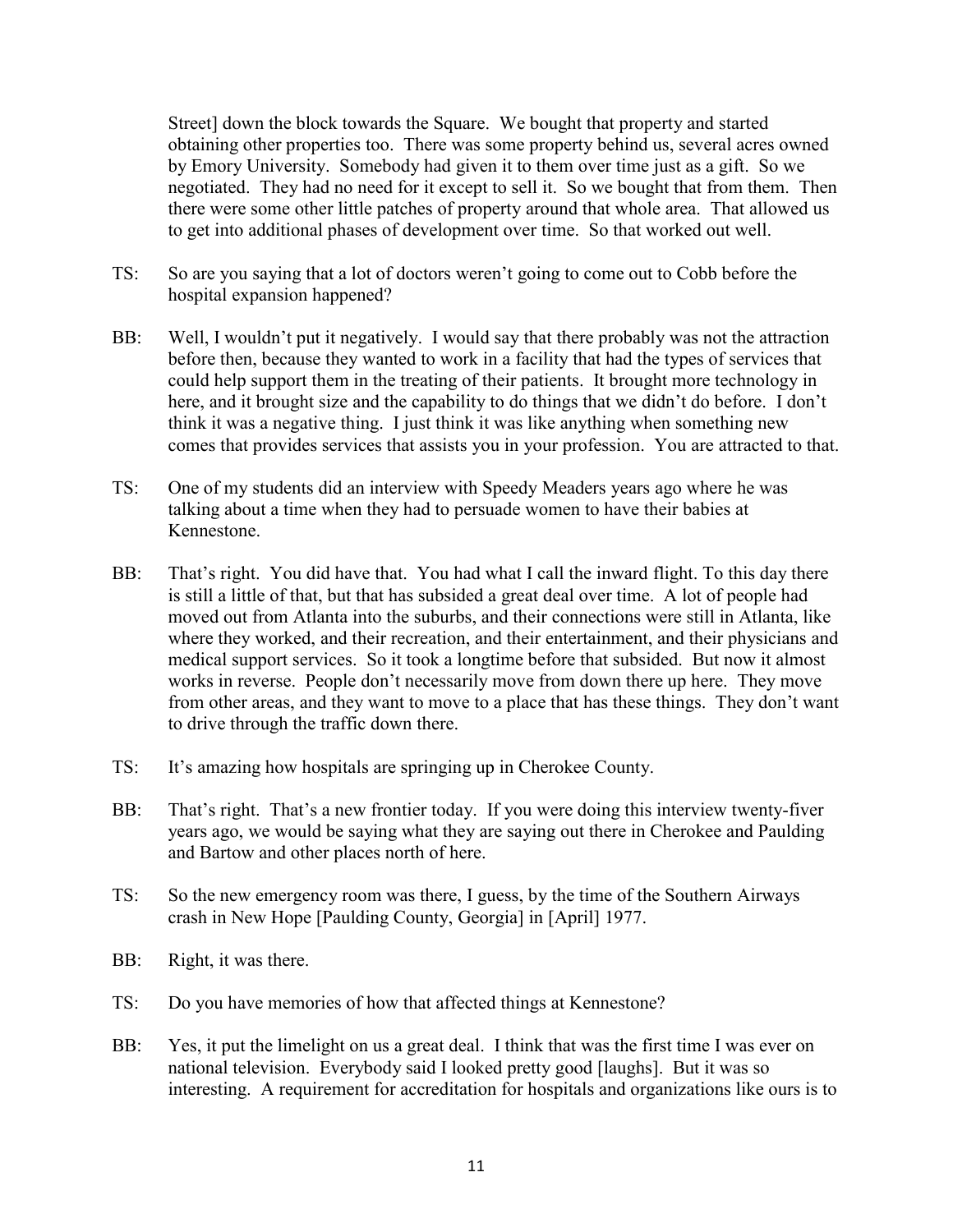Street] down the block towards the Square. We bought that property and started obtaining other properties too. There was some property behind us, several acres owned by Emory University. Somebody had given it to them over time just as a gift. So we negotiated. They had no need for it except to sell it. So we bought that from them. Then there were some other little patches of property around that whole area. That allowed us to get into additional phases of development over time. So that worked out well.

- TS: So are you saying that a lot of doctors weren't going to come out to Cobb before the hospital expansion happened?
- BB: Well, I wouldn't put it negatively. I would say that there probably was not the attraction before then, because they wanted to work in a facility that had the types of services that could help support them in the treating of their patients. It brought more technology in here, and it brought size and the capability to do things that we didn't do before. I don't think it was a negative thing. I just think it was like anything when something new comes that provides services that assists you in your profession. You are attracted to that.
- TS: One of my students did an interview with Speedy Meaders years ago where he was talking about a time when they had to persuade women to have their babies at Kennestone.
- BB: That's right. You did have that. You had what I call the inward flight. To this day there is still a little of that, but that has subsided a great deal over time. A lot of people had moved out from Atlanta into the suburbs, and their connections were still in Atlanta, like where they worked, and their recreation, and their entertainment, and their physicians and medical support services. So it took a longtime before that subsided. But now it almost works in reverse. People don't necessarily move from down there up here. They move from other areas, and they want to move to a place that has these things. They don't want to drive through the traffic down there.
- TS: It's amazing how hospitals are springing up in Cherokee County.
- BB: That's right. That's a new frontier today. If you were doing this interview twenty-fiver years ago, we would be saying what they are saying out there in Cherokee and Paulding and Bartow and other places north of here.
- TS: So the new emergency room was there, I guess, by the time of the Southern Airways crash in New Hope [Paulding County, Georgia] in [April] 1977.
- BB: Right, it was there.
- TS: Do you have memories of how that affected things at Kennestone?
- BB: Yes, it put the limelight on us a great deal. I think that was the first time I was ever on national television. Everybody said I looked pretty good [laughs]. But it was so interesting. A requirement for accreditation for hospitals and organizations like ours is to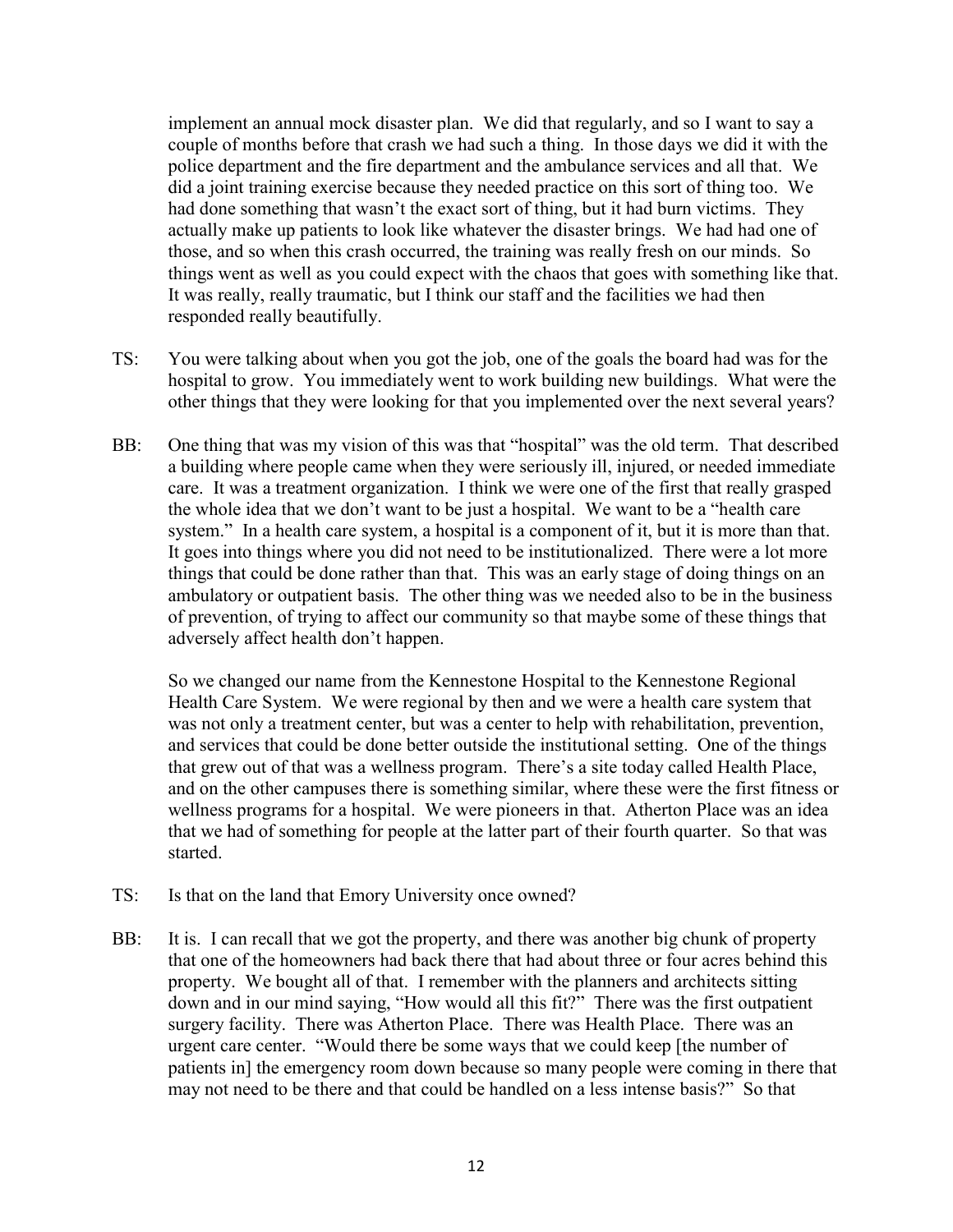implement an annual mock disaster plan. We did that regularly, and so I want to say a couple of months before that crash we had such a thing. In those days we did it with the police department and the fire department and the ambulance services and all that. We did a joint training exercise because they needed practice on this sort of thing too. We had done something that wasn't the exact sort of thing, but it had burn victims. They actually make up patients to look like whatever the disaster brings. We had had one of those, and so when this crash occurred, the training was really fresh on our minds. So things went as well as you could expect with the chaos that goes with something like that. It was really, really traumatic, but I think our staff and the facilities we had then responded really beautifully.

- TS: You were talking about when you got the job, one of the goals the board had was for the hospital to grow. You immediately went to work building new buildings. What were the other things that they were looking for that you implemented over the next several years?
- BB: One thing that was my vision of this was that "hospital" was the old term. That described a building where people came when they were seriously ill, injured, or needed immediate care. It was a treatment organization. I think we were one of the first that really grasped the whole idea that we don't want to be just a hospital. We want to be a "health care system." In a health care system, a hospital is a component of it, but it is more than that. It goes into things where you did not need to be institutionalized. There were a lot more things that could be done rather than that. This was an early stage of doing things on an ambulatory or outpatient basis. The other thing was we needed also to be in the business of prevention, of trying to affect our community so that maybe some of these things that adversely affect health don't happen.

So we changed our name from the Kennestone Hospital to the Kennestone Regional Health Care System. We were regional by then and we were a health care system that was not only a treatment center, but was a center to help with rehabilitation, prevention, and services that could be done better outside the institutional setting. One of the things that grew out of that was a wellness program. There's a site today called Health Place, and on the other campuses there is something similar, where these were the first fitness or wellness programs for a hospital. We were pioneers in that. Atherton Place was an idea that we had of something for people at the latter part of their fourth quarter. So that was started.

- TS: Is that on the land that Emory University once owned?
- BB: It is. I can recall that we got the property, and there was another big chunk of property that one of the homeowners had back there that had about three or four acres behind this property. We bought all of that. I remember with the planners and architects sitting down and in our mind saying, "How would all this fit?" There was the first outpatient surgery facility. There was Atherton Place. There was Health Place. There was an urgent care center. "Would there be some ways that we could keep [the number of patients in] the emergency room down because so many people were coming in there that may not need to be there and that could be handled on a less intense basis?" So that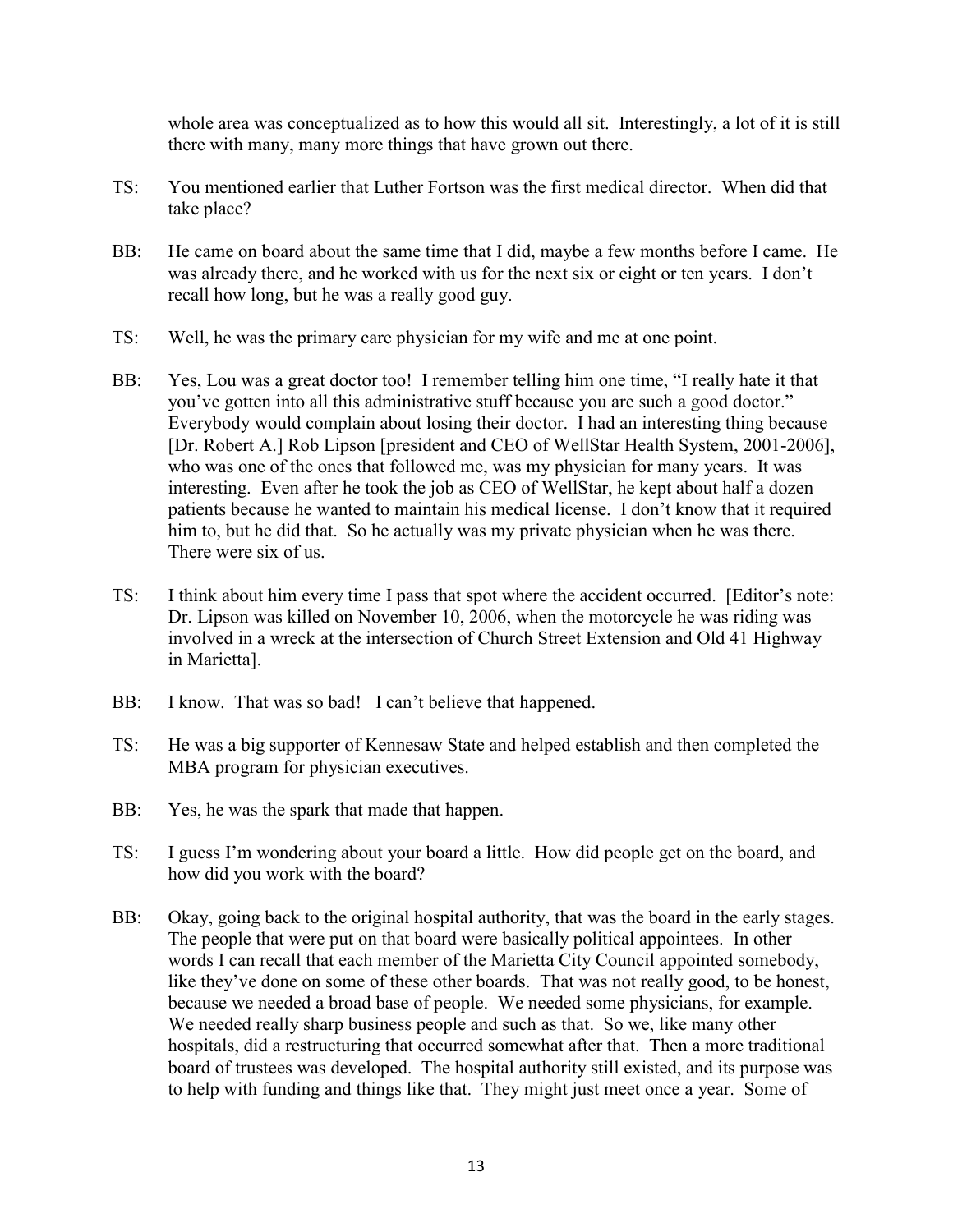whole area was conceptualized as to how this would all sit. Interestingly, a lot of it is still there with many, many more things that have grown out there.

- TS: You mentioned earlier that Luther Fortson was the first medical director. When did that take place?
- BB: He came on board about the same time that I did, maybe a few months before I came. He was already there, and he worked with us for the next six or eight or ten years. I don't recall how long, but he was a really good guy.
- TS: Well, he was the primary care physician for my wife and me at one point.
- BB: Yes, Lou was a great doctor too! I remember telling him one time, "I really hate it that you've gotten into all this administrative stuff because you are such a good doctor." Everybody would complain about losing their doctor. I had an interesting thing because [Dr. Robert A.] Rob Lipson [president and CEO of WellStar Health System, 2001-2006], who was one of the ones that followed me, was my physician for many years. It was interesting. Even after he took the job as CEO of WellStar, he kept about half a dozen patients because he wanted to maintain his medical license. I don't know that it required him to, but he did that. So he actually was my private physician when he was there. There were six of us.
- TS: I think about him every time I pass that spot where the accident occurred. [Editor's note: Dr. Lipson was killed on November 10, 2006, when the motorcycle he was riding was involved in a wreck at the intersection of Church Street Extension and Old 41 Highway in Marietta].
- BB: I know. That was so bad! I can't believe that happened.
- TS: He was a big supporter of Kennesaw State and helped establish and then completed the MBA program for physician executives.
- BB: Yes, he was the spark that made that happen.
- TS: I guess I'm wondering about your board a little. How did people get on the board, and how did you work with the board?
- BB: Okay, going back to the original hospital authority, that was the board in the early stages. The people that were put on that board were basically political appointees. In other words I can recall that each member of the Marietta City Council appointed somebody, like they've done on some of these other boards. That was not really good, to be honest, because we needed a broad base of people. We needed some physicians, for example. We needed really sharp business people and such as that. So we, like many other hospitals, did a restructuring that occurred somewhat after that. Then a more traditional board of trustees was developed. The hospital authority still existed, and its purpose was to help with funding and things like that. They might just meet once a year. Some of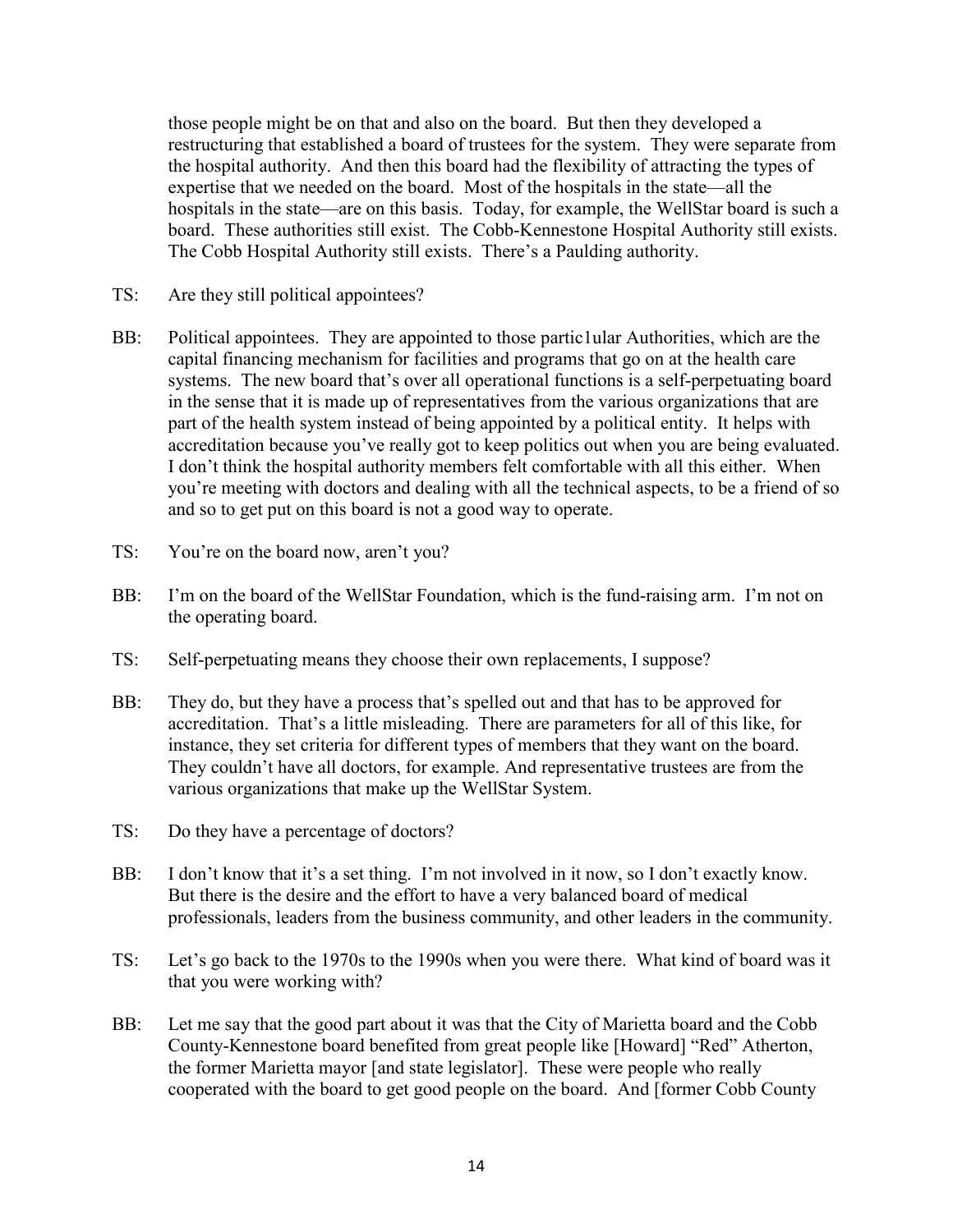those people might be on that and also on the board. But then they developed a restructuring that established a board of trustees for the system. They were separate from the hospital authority. And then this board had the flexibility of attracting the types of expertise that we needed on the board. Most of the hospitals in the state—all the hospitals in the state—are on this basis. Today, for example, the WellStar board is such a board. These authorities still exist. The Cobb-Kennestone Hospital Authority still exists. The Cobb Hospital Authority still exists. There's a Paulding authority.

- TS: Are they still political appointees?
- BB: Political appointees. They are appointed to those partic1ular Authorities, which are the capital financing mechanism for facilities and programs that go on at the health care systems. The new board that's over all operational functions is a self-perpetuating board in the sense that it is made up of representatives from the various organizations that are part of the health system instead of being appointed by a political entity. It helps with accreditation because you've really got to keep politics out when you are being evaluated. I don't think the hospital authority members felt comfortable with all this either. When you're meeting with doctors and dealing with all the technical aspects, to be a friend of so and so to get put on this board is not a good way to operate.
- TS: You're on the board now, aren't you?
- BB: I'm on the board of the WellStar Foundation, which is the fund-raising arm. I'm not on the operating board.
- TS: Self-perpetuating means they choose their own replacements, I suppose?
- BB: They do, but they have a process that's spelled out and that has to be approved for accreditation. That's a little misleading. There are parameters for all of this like, for instance, they set criteria for different types of members that they want on the board. They couldn't have all doctors, for example. And representative trustees are from the various organizations that make up the WellStar System.
- TS: Do they have a percentage of doctors?
- BB: I don't know that it's a set thing. I'm not involved in it now, so I don't exactly know. But there is the desire and the effort to have a very balanced board of medical professionals, leaders from the business community, and other leaders in the community.
- TS: Let's go back to the 1970s to the 1990s when you were there. What kind of board was it that you were working with?
- BB: Let me say that the good part about it was that the City of Marietta board and the Cobb County-Kennestone board benefited from great people like [Howard] "Red" Atherton, the former Marietta mayor [and state legislator]. These were people who really cooperated with the board to get good people on the board. And [former Cobb County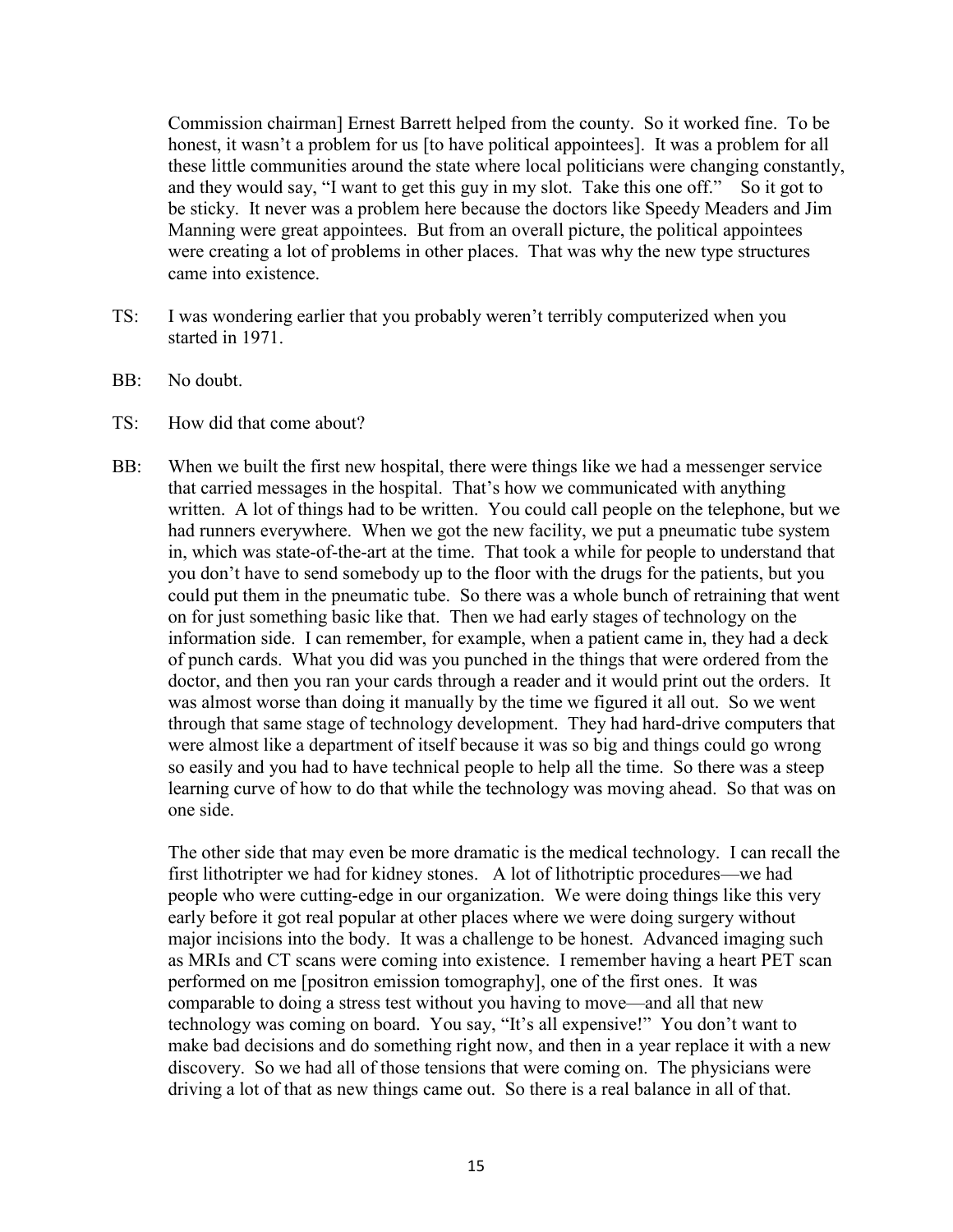Commission chairman] Ernest Barrett helped from the county. So it worked fine. To be honest, it wasn't a problem for us [to have political appointees]. It was a problem for all these little communities around the state where local politicians were changing constantly, and they would say, "I want to get this guy in my slot. Take this one off." So it got to be sticky. It never was a problem here because the doctors like Speedy Meaders and Jim Manning were great appointees. But from an overall picture, the political appointees were creating a lot of problems in other places. That was why the new type structures came into existence.

- TS: I was wondering earlier that you probably weren't terribly computerized when you started in 1971.
- BB: No doubt.
- TS: How did that come about?
- BB: When we built the first new hospital, there were things like we had a messenger service that carried messages in the hospital. That's how we communicated with anything written. A lot of things had to be written. You could call people on the telephone, but we had runners everywhere. When we got the new facility, we put a pneumatic tube system in, which was state-of-the-art at the time. That took a while for people to understand that you don't have to send somebody up to the floor with the drugs for the patients, but you could put them in the pneumatic tube. So there was a whole bunch of retraining that went on for just something basic like that. Then we had early stages of technology on the information side. I can remember, for example, when a patient came in, they had a deck of punch cards. What you did was you punched in the things that were ordered from the doctor, and then you ran your cards through a reader and it would print out the orders. It was almost worse than doing it manually by the time we figured it all out. So we went through that same stage of technology development. They had hard-drive computers that were almost like a department of itself because it was so big and things could go wrong so easily and you had to have technical people to help all the time. So there was a steep learning curve of how to do that while the technology was moving ahead. So that was on one side.

The other side that may even be more dramatic is the medical technology. I can recall the first lithotripter we had for kidney stones. A lot of lithotriptic procedures—we had people who were cutting-edge in our organization. We were doing things like this very early before it got real popular at other places where we were doing surgery without major incisions into the body. It was a challenge to be honest. Advanced imaging such as MRIs and CT scans were coming into existence. I remember having a heart PET scan performed on me [positron emission tomography], one of the first ones. It was comparable to doing a stress test without you having to move—and all that new technology was coming on board. You say, "It's all expensive!" You don't want to make bad decisions and do something right now, and then in a year replace it with a new discovery. So we had all of those tensions that were coming on. The physicians were driving a lot of that as new things came out. So there is a real balance in all of that.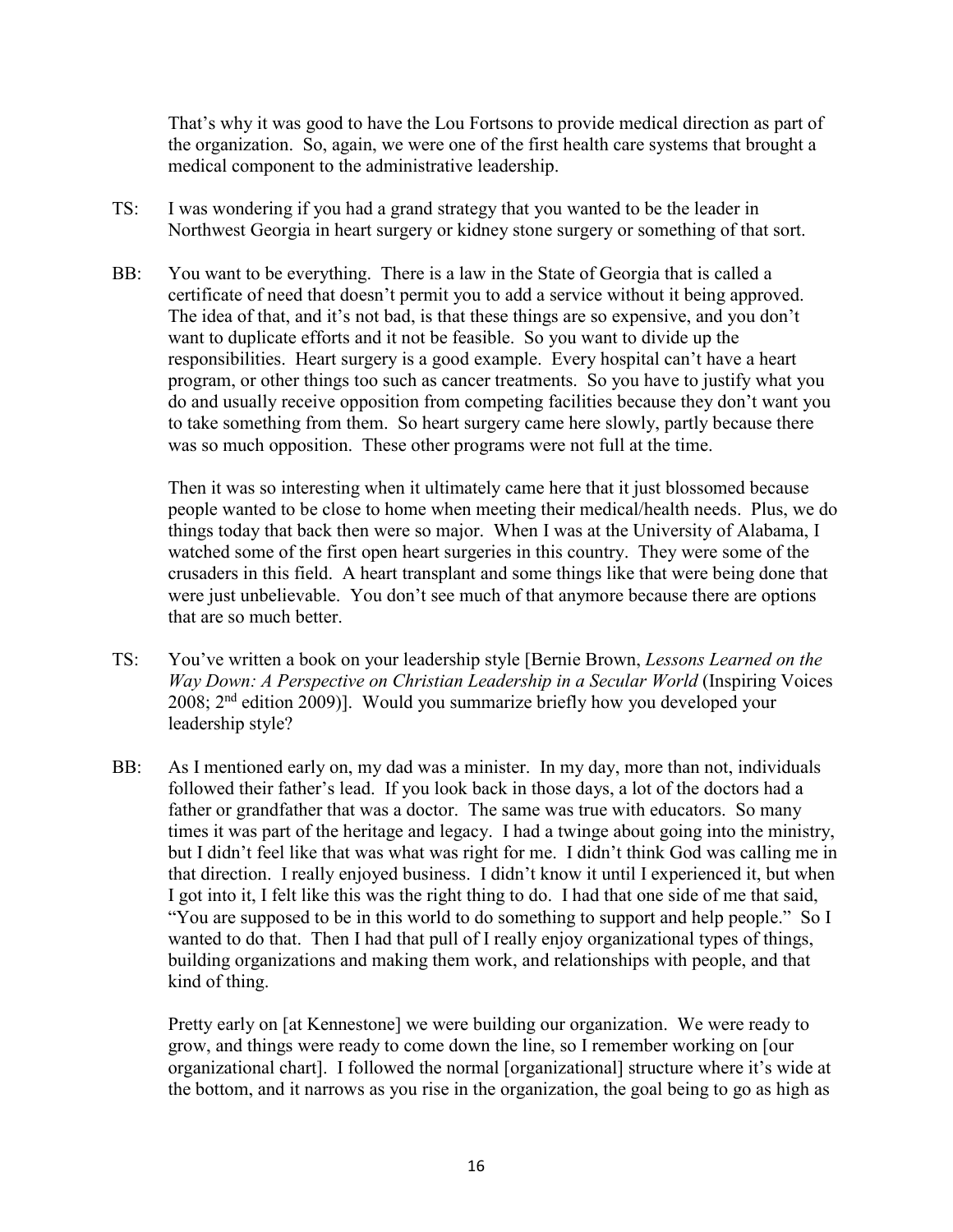That's why it was good to have the Lou Fortsons to provide medical direction as part of the organization. So, again, we were one of the first health care systems that brought a medical component to the administrative leadership.

- TS: I was wondering if you had a grand strategy that you wanted to be the leader in Northwest Georgia in heart surgery or kidney stone surgery or something of that sort.
- BB: You want to be everything. There is a law in the State of Georgia that is called a certificate of need that doesn't permit you to add a service without it being approved. The idea of that, and it's not bad, is that these things are so expensive, and you don't want to duplicate efforts and it not be feasible. So you want to divide up the responsibilities. Heart surgery is a good example. Every hospital can't have a heart program, or other things too such as cancer treatments. So you have to justify what you do and usually receive opposition from competing facilities because they don't want you to take something from them. So heart surgery came here slowly, partly because there was so much opposition. These other programs were not full at the time.

Then it was so interesting when it ultimately came here that it just blossomed because people wanted to be close to home when meeting their medical/health needs. Plus, we do things today that back then were so major. When I was at the University of Alabama, I watched some of the first open heart surgeries in this country. They were some of the crusaders in this field. A heart transplant and some things like that were being done that were just unbelievable. You don't see much of that anymore because there are options that are so much better.

- TS: You've written a book on your leadership style [Bernie Brown, *Lessons Learned on the Way Down: A Perspective on Christian Leadership in a Secular World* (Inspiring Voices  $2008$ ;  $2<sup>nd</sup>$  edition 2009)]. Would you summarize briefly how you developed your leadership style?
- BB: As I mentioned early on, my dad was a minister. In my day, more than not, individuals followed their father's lead. If you look back in those days, a lot of the doctors had a father or grandfather that was a doctor. The same was true with educators. So many times it was part of the heritage and legacy. I had a twinge about going into the ministry, but I didn't feel like that was what was right for me. I didn't think God was calling me in that direction. I really enjoyed business. I didn't know it until I experienced it, but when I got into it, I felt like this was the right thing to do. I had that one side of me that said, "You are supposed to be in this world to do something to support and help people." So I wanted to do that. Then I had that pull of I really enjoy organizational types of things, building organizations and making them work, and relationships with people, and that kind of thing.

Pretty early on [at Kennestone] we were building our organization. We were ready to grow, and things were ready to come down the line, so I remember working on [our organizational chart]. I followed the normal [organizational] structure where it's wide at the bottom, and it narrows as you rise in the organization, the goal being to go as high as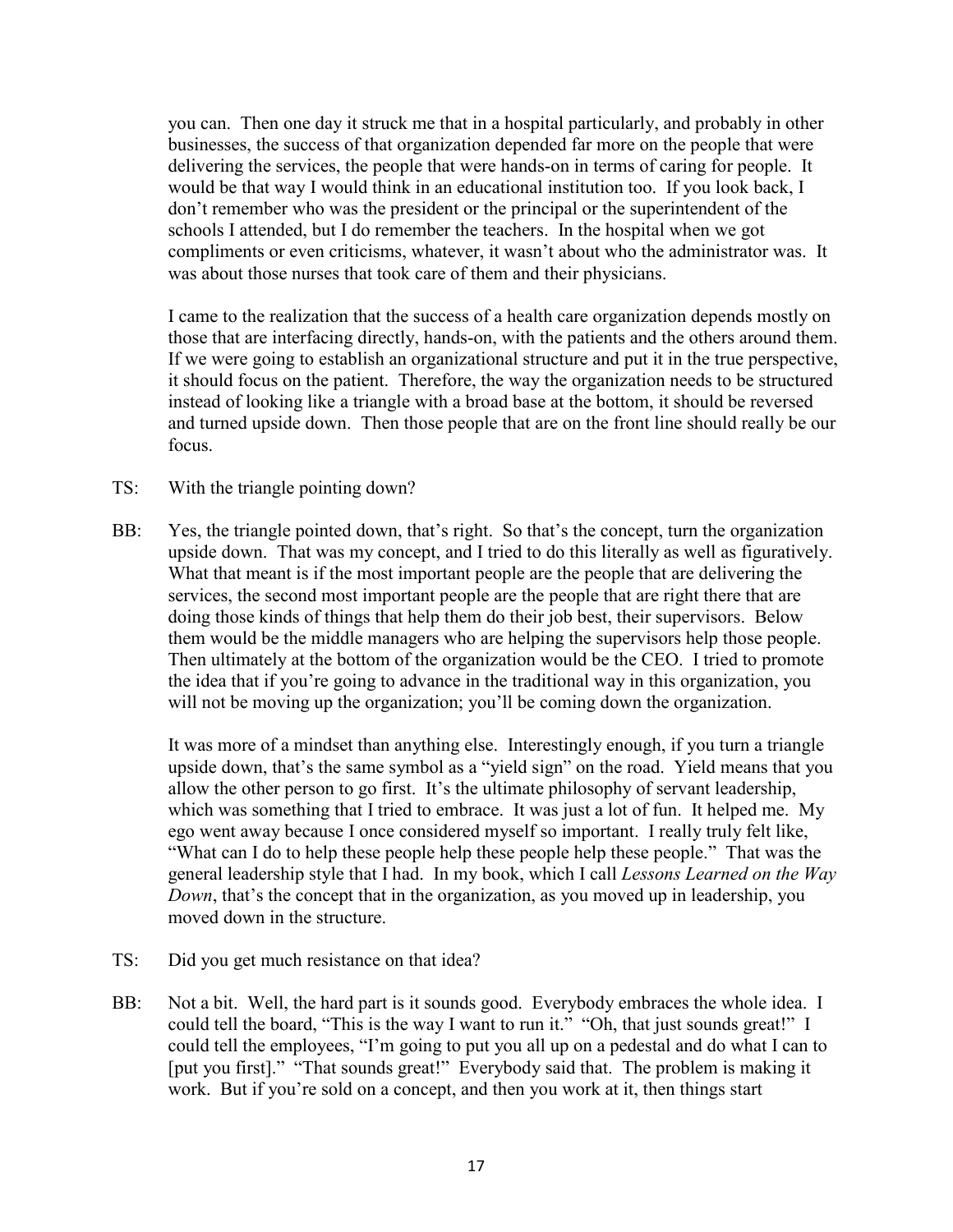you can. Then one day it struck me that in a hospital particularly, and probably in other businesses, the success of that organization depended far more on the people that were delivering the services, the people that were hands-on in terms of caring for people. It would be that way I would think in an educational institution too. If you look back, I don't remember who was the president or the principal or the superintendent of the schools I attended, but I do remember the teachers. In the hospital when we got compliments or even criticisms, whatever, it wasn't about who the administrator was. It was about those nurses that took care of them and their physicians.

I came to the realization that the success of a health care organization depends mostly on those that are interfacing directly, hands-on, with the patients and the others around them. If we were going to establish an organizational structure and put it in the true perspective, it should focus on the patient. Therefore, the way the organization needs to be structured instead of looking like a triangle with a broad base at the bottom, it should be reversed and turned upside down. Then those people that are on the front line should really be our focus.

- TS: With the triangle pointing down?
- BB: Yes, the triangle pointed down, that's right. So that's the concept, turn the organization upside down. That was my concept, and I tried to do this literally as well as figuratively. What that meant is if the most important people are the people that are delivering the services, the second most important people are the people that are right there that are doing those kinds of things that help them do their job best, their supervisors. Below them would be the middle managers who are helping the supervisors help those people. Then ultimately at the bottom of the organization would be the CEO. I tried to promote the idea that if you're going to advance in the traditional way in this organization, you will not be moving up the organization; you'll be coming down the organization.

It was more of a mindset than anything else. Interestingly enough, if you turn a triangle upside down, that's the same symbol as a "yield sign" on the road. Yield means that you allow the other person to go first. It's the ultimate philosophy of servant leadership, which was something that I tried to embrace. It was just a lot of fun. It helped me. My ego went away because I once considered myself so important. I really truly felt like, "What can I do to help these people help these people help these people." That was the general leadership style that I had. In my book, which I call *Lessons Learned on the Way Down*, that's the concept that in the organization, as you moved up in leadership, you moved down in the structure.

- TS: Did you get much resistance on that idea?
- BB: Not a bit. Well, the hard part is it sounds good. Everybody embraces the whole idea. I could tell the board, "This is the way I want to run it." "Oh, that just sounds great!" I could tell the employees, "I'm going to put you all up on a pedestal and do what I can to [put you first]." "That sounds great!" Everybody said that. The problem is making it work. But if you're sold on a concept, and then you work at it, then things start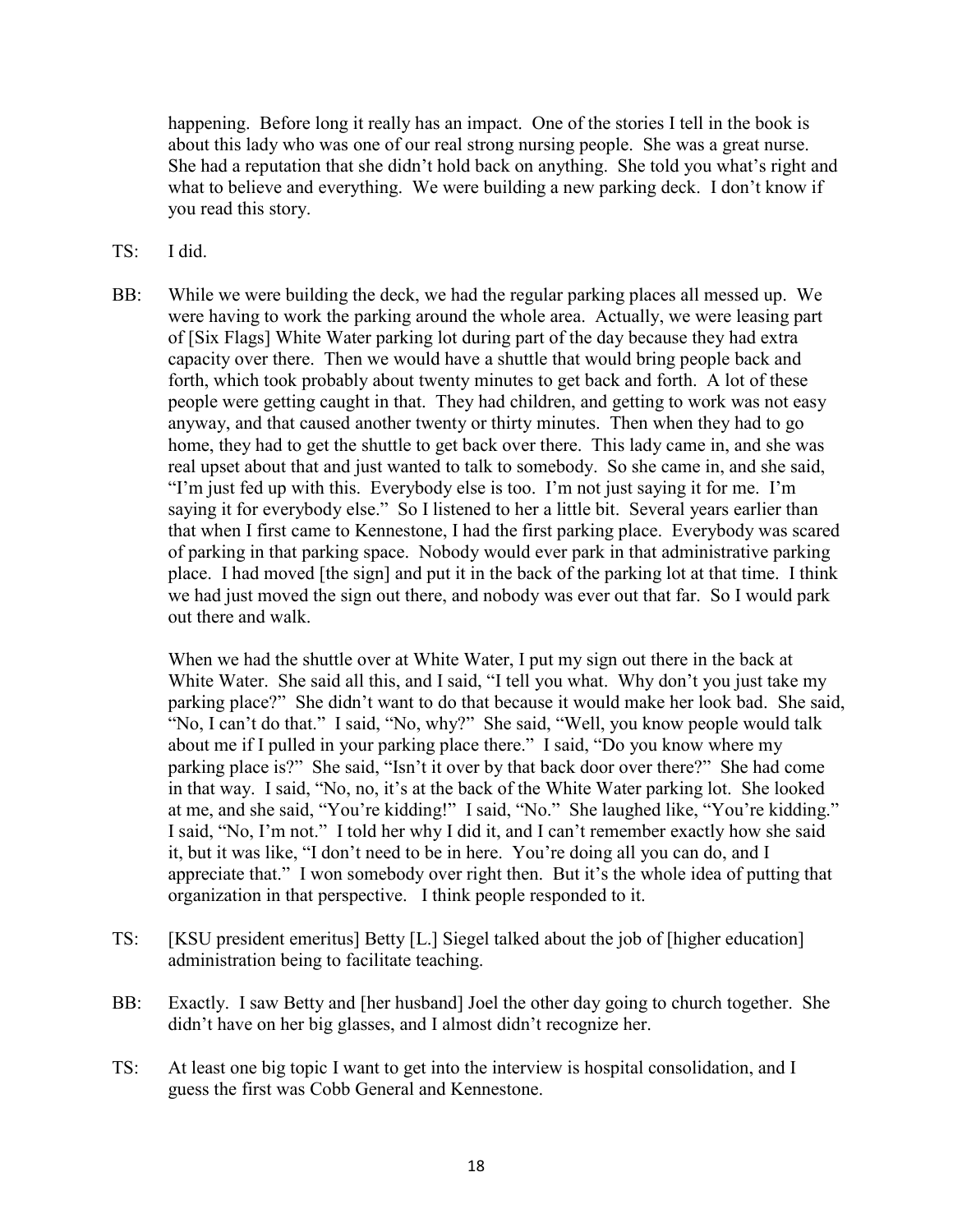happening. Before long it really has an impact. One of the stories I tell in the book is about this lady who was one of our real strong nursing people. She was a great nurse. She had a reputation that she didn't hold back on anything. She told you what's right and what to believe and everything. We were building a new parking deck. I don't know if you read this story.

- TS: I did.
- BB: While we were building the deck, we had the regular parking places all messed up. We were having to work the parking around the whole area. Actually, we were leasing part of [Six Flags] White Water parking lot during part of the day because they had extra capacity over there. Then we would have a shuttle that would bring people back and forth, which took probably about twenty minutes to get back and forth. A lot of these people were getting caught in that. They had children, and getting to work was not easy anyway, and that caused another twenty or thirty minutes. Then when they had to go home, they had to get the shuttle to get back over there. This lady came in, and she was real upset about that and just wanted to talk to somebody. So she came in, and she said, "I'm just fed up with this. Everybody else is too. I'm not just saying it for me. I'm saying it for everybody else." So I listened to her a little bit. Several years earlier than that when I first came to Kennestone, I had the first parking place. Everybody was scared of parking in that parking space. Nobody would ever park in that administrative parking place. I had moved [the sign] and put it in the back of the parking lot at that time. I think we had just moved the sign out there, and nobody was ever out that far. So I would park out there and walk.

When we had the shuttle over at White Water, I put my sign out there in the back at White Water. She said all this, and I said, "I tell you what. Why don't you just take my parking place?" She didn't want to do that because it would make her look bad. She said, "No, I can't do that." I said, "No, why?" She said, "Well, you know people would talk about me if I pulled in your parking place there." I said, "Do you know where my parking place is?" She said, "Isn't it over by that back door over there?" She had come in that way. I said, "No, no, it's at the back of the White Water parking lot. She looked at me, and she said, "You're kidding!" I said, "No." She laughed like, "You're kidding." I said, "No, I'm not." I told her why I did it, and I can't remember exactly how she said it, but it was like, "I don't need to be in here. You're doing all you can do, and I appreciate that." I won somebody over right then. But it's the whole idea of putting that organization in that perspective. I think people responded to it.

- TS: [KSU president emeritus] Betty [L.] Siegel talked about the job of [higher education] administration being to facilitate teaching.
- BB: Exactly. I saw Betty and [her husband] Joel the other day going to church together. She didn't have on her big glasses, and I almost didn't recognize her.
- TS: At least one big topic I want to get into the interview is hospital consolidation, and I guess the first was Cobb General and Kennestone.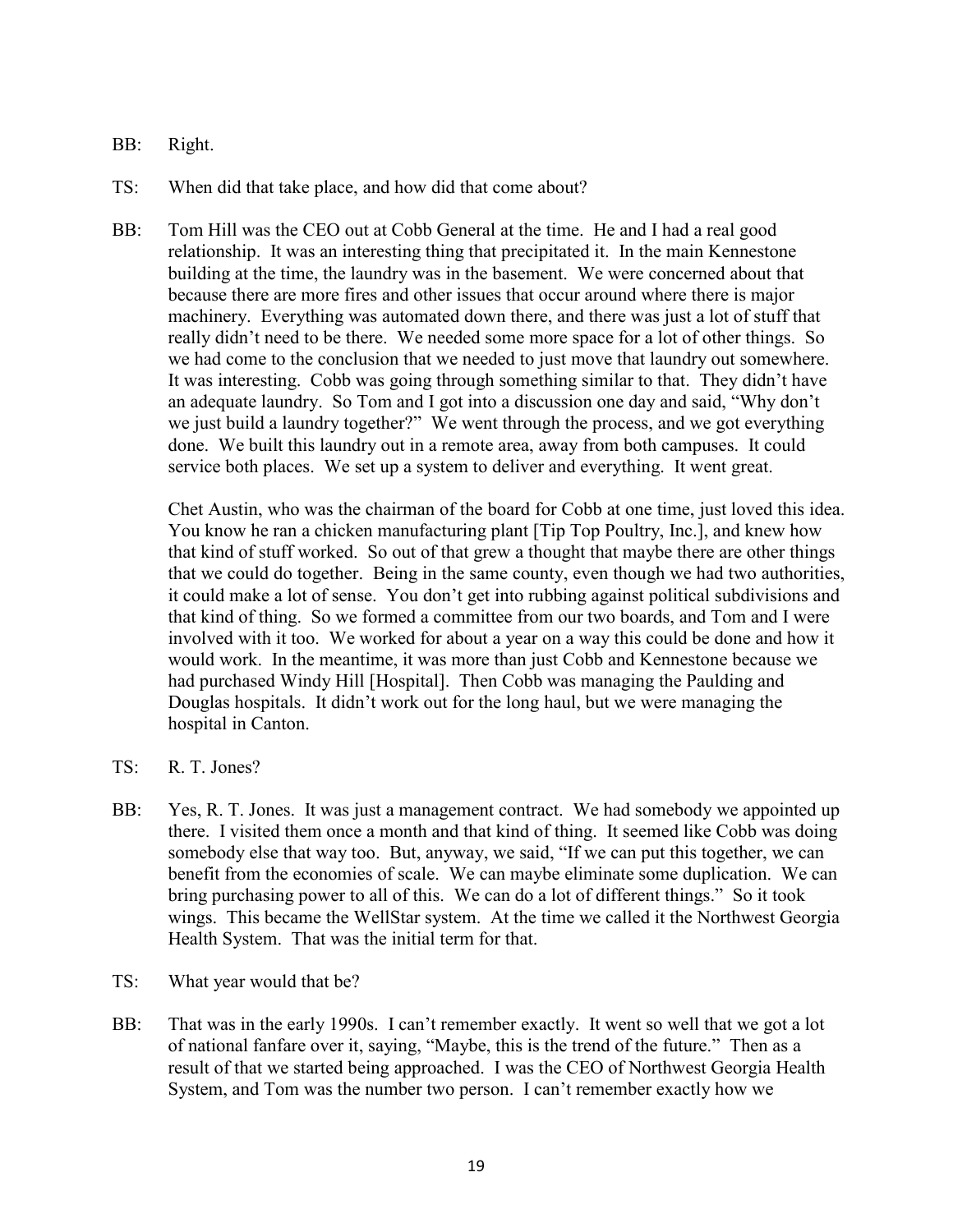- BB: Right.
- TS: When did that take place, and how did that come about?
- BB: Tom Hill was the CEO out at Cobb General at the time. He and I had a real good relationship. It was an interesting thing that precipitated it. In the main Kennestone building at the time, the laundry was in the basement. We were concerned about that because there are more fires and other issues that occur around where there is major machinery. Everything was automated down there, and there was just a lot of stuff that really didn't need to be there. We needed some more space for a lot of other things. So we had come to the conclusion that we needed to just move that laundry out somewhere. It was interesting. Cobb was going through something similar to that. They didn't have an adequate laundry. So Tom and I got into a discussion one day and said, "Why don't we just build a laundry together?" We went through the process, and we got everything done. We built this laundry out in a remote area, away from both campuses. It could service both places. We set up a system to deliver and everything. It went great.

Chet Austin, who was the chairman of the board for Cobb at one time, just loved this idea. You know he ran a chicken manufacturing plant [Tip Top Poultry, Inc.], and knew how that kind of stuff worked. So out of that grew a thought that maybe there are other things that we could do together. Being in the same county, even though we had two authorities, it could make a lot of sense. You don't get into rubbing against political subdivisions and that kind of thing. So we formed a committee from our two boards, and Tom and I were involved with it too. We worked for about a year on a way this could be done and how it would work. In the meantime, it was more than just Cobb and Kennestone because we had purchased Windy Hill [Hospital]. Then Cobb was managing the Paulding and Douglas hospitals. It didn't work out for the long haul, but we were managing the hospital in Canton.

- TS: R. T. Jones?
- BB: Yes, R. T. Jones. It was just a management contract. We had somebody we appointed up there. I visited them once a month and that kind of thing. It seemed like Cobb was doing somebody else that way too. But, anyway, we said, "If we can put this together, we can benefit from the economies of scale. We can maybe eliminate some duplication. We can bring purchasing power to all of this. We can do a lot of different things." So it took wings. This became the WellStar system. At the time we called it the Northwest Georgia Health System. That was the initial term for that.
- TS: What year would that be?
- BB: That was in the early 1990s. I can't remember exactly. It went so well that we got a lot of national fanfare over it, saying, "Maybe, this is the trend of the future." Then as a result of that we started being approached. I was the CEO of Northwest Georgia Health System, and Tom was the number two person. I can't remember exactly how we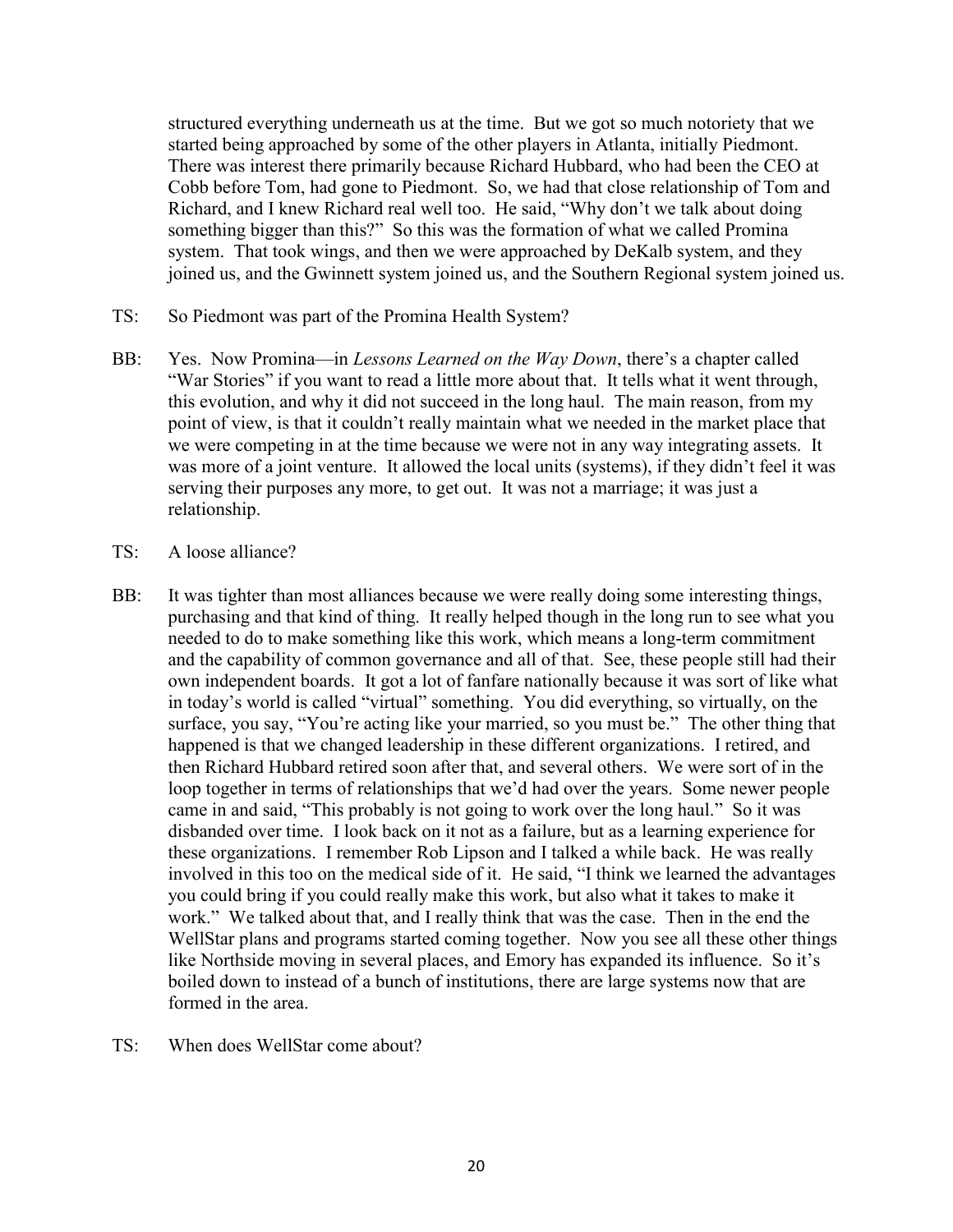structured everything underneath us at the time. But we got so much notoriety that we started being approached by some of the other players in Atlanta, initially Piedmont. There was interest there primarily because Richard Hubbard, who had been the CEO at Cobb before Tom, had gone to Piedmont. So, we had that close relationship of Tom and Richard, and I knew Richard real well too. He said, "Why don't we talk about doing something bigger than this?" So this was the formation of what we called Promina system. That took wings, and then we were approached by DeKalb system, and they joined us, and the Gwinnett system joined us, and the Southern Regional system joined us.

- TS: So Piedmont was part of the Promina Health System?
- BB: Yes. Now Promina—in *Lessons Learned on the Way Down*, there's a chapter called "War Stories" if you want to read a little more about that. It tells what it went through, this evolution, and why it did not succeed in the long haul. The main reason, from my point of view, is that it couldn't really maintain what we needed in the market place that we were competing in at the time because we were not in any way integrating assets. It was more of a joint venture. It allowed the local units (systems), if they didn't feel it was serving their purposes any more, to get out. It was not a marriage; it was just a relationship.
- TS: A loose alliance?
- BB: It was tighter than most alliances because we were really doing some interesting things, purchasing and that kind of thing. It really helped though in the long run to see what you needed to do to make something like this work, which means a long-term commitment and the capability of common governance and all of that. See, these people still had their own independent boards. It got a lot of fanfare nationally because it was sort of like what in today's world is called "virtual" something. You did everything, so virtually, on the surface, you say, "You're acting like your married, so you must be." The other thing that happened is that we changed leadership in these different organizations. I retired, and then Richard Hubbard retired soon after that, and several others. We were sort of in the loop together in terms of relationships that we'd had over the years. Some newer people came in and said, "This probably is not going to work over the long haul." So it was disbanded over time. I look back on it not as a failure, but as a learning experience for these organizations. I remember Rob Lipson and I talked a while back. He was really involved in this too on the medical side of it. He said, "I think we learned the advantages you could bring if you could really make this work, but also what it takes to make it work." We talked about that, and I really think that was the case. Then in the end the WellStar plans and programs started coming together. Now you see all these other things like Northside moving in several places, and Emory has expanded its influence. So it's boiled down to instead of a bunch of institutions, there are large systems now that are formed in the area.
- TS: When does WellStar come about?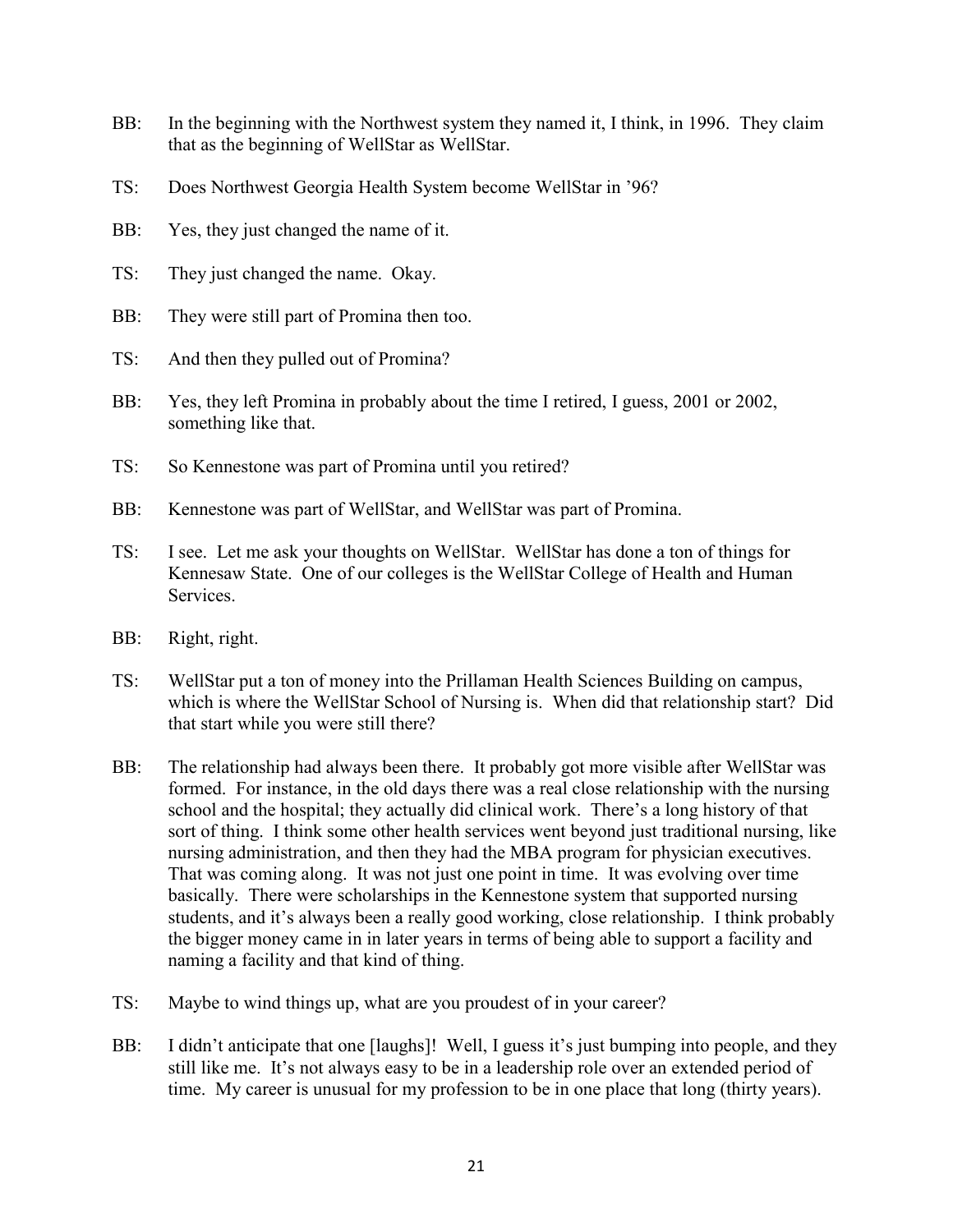- BB: In the beginning with the Northwest system they named it, I think, in 1996. They claim that as the beginning of WellStar as WellStar.
- TS: Does Northwest Georgia Health System become WellStar in '96?
- BB: Yes, they just changed the name of it.
- TS: They just changed the name. Okay.
- BB: They were still part of Promina then too.
- TS: And then they pulled out of Promina?
- BB: Yes, they left Promina in probably about the time I retired, I guess, 2001 or 2002, something like that.
- TS: So Kennestone was part of Promina until you retired?
- BB: Kennestone was part of WellStar, and WellStar was part of Promina.
- TS: I see. Let me ask your thoughts on WellStar. WellStar has done a ton of things for Kennesaw State. One of our colleges is the WellStar College of Health and Human Services.
- BB: Right, right.
- TS: WellStar put a ton of money into the Prillaman Health Sciences Building on campus, which is where the WellStar School of Nursing is. When did that relationship start? Did that start while you were still there?
- BB: The relationship had always been there. It probably got more visible after WellStar was formed. For instance, in the old days there was a real close relationship with the nursing school and the hospital; they actually did clinical work. There's a long history of that sort of thing. I think some other health services went beyond just traditional nursing, like nursing administration, and then they had the MBA program for physician executives. That was coming along. It was not just one point in time. It was evolving over time basically. There were scholarships in the Kennestone system that supported nursing students, and it's always been a really good working, close relationship. I think probably the bigger money came in in later years in terms of being able to support a facility and naming a facility and that kind of thing.
- TS: Maybe to wind things up, what are you proudest of in your career?
- BB: I didn't anticipate that one [laughs]! Well, I guess it's just bumping into people, and they still like me. It's not always easy to be in a leadership role over an extended period of time. My career is unusual for my profession to be in one place that long (thirty years).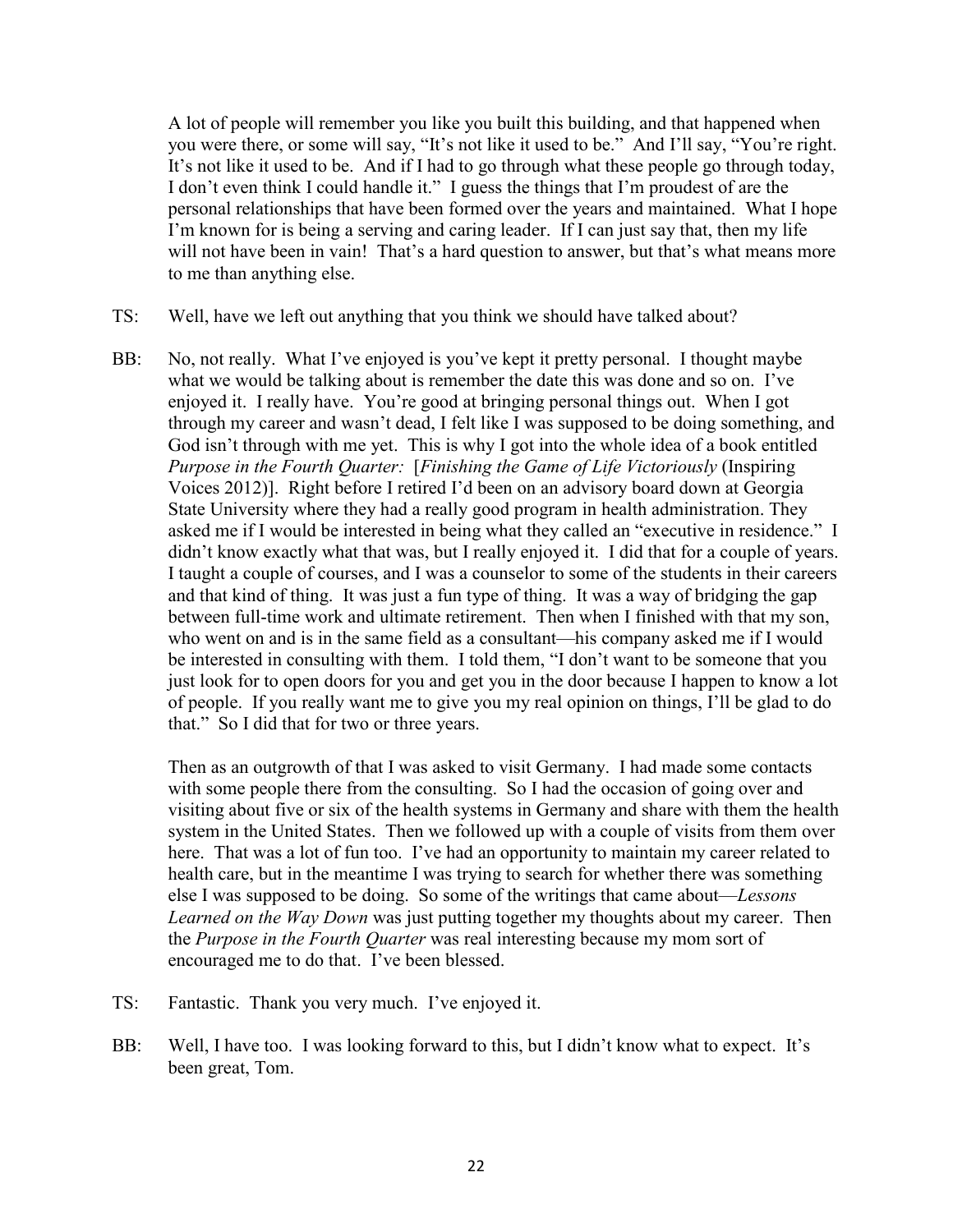A lot of people will remember you like you built this building, and that happened when you were there, or some will say, "It's not like it used to be." And I'll say, "You're right. It's not like it used to be. And if I had to go through what these people go through today, I don't even think I could handle it." I guess the things that I'm proudest of are the personal relationships that have been formed over the years and maintained. What I hope I'm known for is being a serving and caring leader. If I can just say that, then my life will not have been in vain! That's a hard question to answer, but that's what means more to me than anything else.

- TS: Well, have we left out anything that you think we should have talked about?
- BB: No, not really. What I've enjoyed is you've kept it pretty personal. I thought maybe what we would be talking about is remember the date this was done and so on. I've enjoyed it. I really have. You're good at bringing personal things out. When I got through my career and wasn't dead, I felt like I was supposed to be doing something, and God isn't through with me yet. This is why I got into the whole idea of a book entitled *Purpose in the Fourth Quarter:* [*Finishing the Game of Life Victoriously* (Inspiring Voices 2012)]. Right before I retired I'd been on an advisory board down at Georgia State University where they had a really good program in health administration. They asked me if I would be interested in being what they called an "executive in residence." I didn't know exactly what that was, but I really enjoyed it. I did that for a couple of years. I taught a couple of courses, and I was a counselor to some of the students in their careers and that kind of thing. It was just a fun type of thing. It was a way of bridging the gap between full-time work and ultimate retirement. Then when I finished with that my son, who went on and is in the same field as a consultant—his company asked me if I would be interested in consulting with them. I told them, "I don't want to be someone that you just look for to open doors for you and get you in the door because I happen to know a lot of people. If you really want me to give you my real opinion on things, I'll be glad to do that." So I did that for two or three years.

Then as an outgrowth of that I was asked to visit Germany. I had made some contacts with some people there from the consulting. So I had the occasion of going over and visiting about five or six of the health systems in Germany and share with them the health system in the United States. Then we followed up with a couple of visits from them over here. That was a lot of fun too. I've had an opportunity to maintain my career related to health care, but in the meantime I was trying to search for whether there was something else I was supposed to be doing. So some of the writings that came about—*Lessons Learned on the Way Down* was just putting together my thoughts about my career. Then the *Purpose in the Fourth Quarter* was real interesting because my mom sort of encouraged me to do that. I've been blessed.

- TS: Fantastic. Thank you very much. I've enjoyed it.
- BB: Well, I have too. I was looking forward to this, but I didn't know what to expect. It's been great, Tom.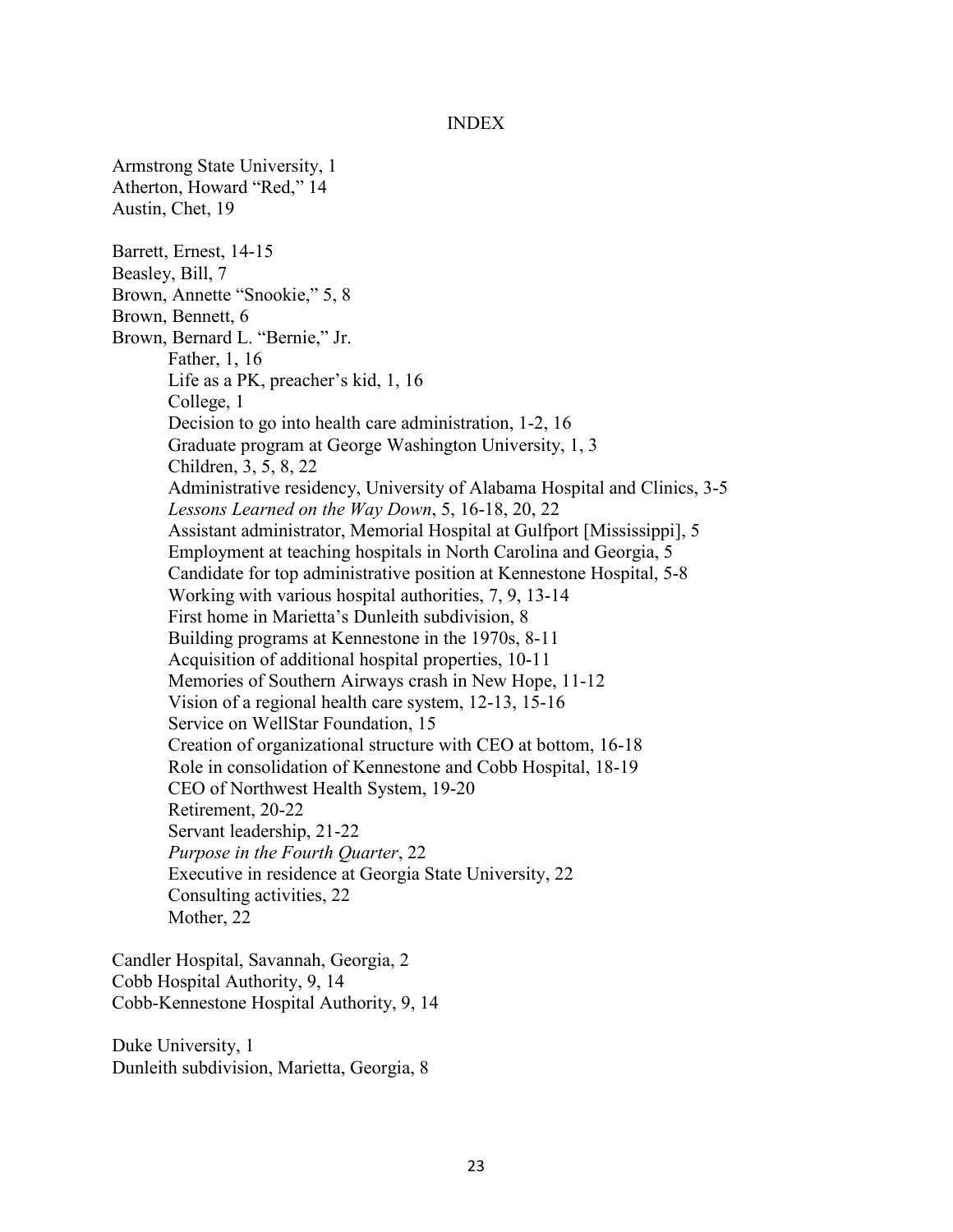#### INDEX

Armstrong State University, 1 Atherton, Howard "Red," 14 Austin, Chet, 19 Barrett, Ernest, 14-15 Beasley, Bill, 7 Brown, Annette "Snookie," 5, 8 Brown, Bennett, 6 Brown, Bernard L. "Bernie," Jr. Father, 1, 16 Life as a PK, preacher's kid, 1, 16 College, 1 Decision to go into health care administration, 1-2, 16 Graduate program at George Washington University, 1, 3 Children, 3, 5, 8, 22 Administrative residency, University of Alabama Hospital and Clinics, 3-5 *Lessons Learned on the Way Down*, 5, 16-18, 20, 22 Assistant administrator, Memorial Hospital at Gulfport [Mississippi], 5 Employment at teaching hospitals in North Carolina and Georgia, 5 Candidate for top administrative position at Kennestone Hospital, 5-8 Working with various hospital authorities, 7, 9, 13-14 First home in Marietta's Dunleith subdivision, 8 Building programs at Kennestone in the 1970s, 8-11 Acquisition of additional hospital properties, 10-11 Memories of Southern Airways crash in New Hope, 11-12 Vision of a regional health care system, 12-13, 15-16 Service on WellStar Foundation, 15 Creation of organizational structure with CEO at bottom, 16-18 Role in consolidation of Kennestone and Cobb Hospital, 18-19 CEO of Northwest Health System, 19-20 Retirement, 20-22 Servant leadership, 21-22 *Purpose in the Fourth Quarter*, 22 Executive in residence at Georgia State University, 22 Consulting activities, 22 Mother, 22

Candler Hospital, Savannah, Georgia, 2 Cobb Hospital Authority, 9, 14 Cobb-Kennestone Hospital Authority, 9, 14

Duke University, 1 Dunleith subdivision, Marietta, Georgia, 8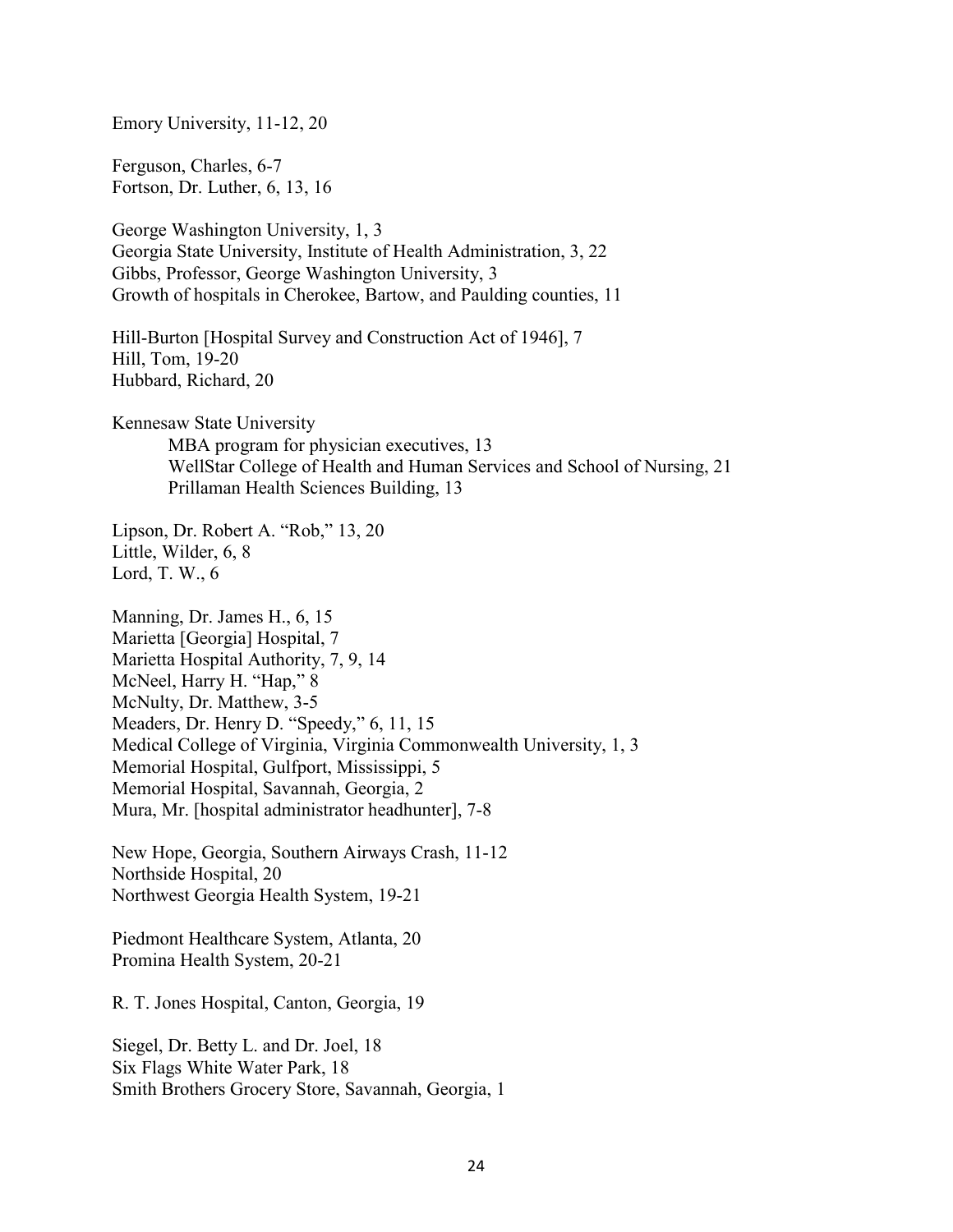Emory University, 11-12, 20

Ferguson, Charles, 6-7 Fortson, Dr. Luther, 6, 13, 16

George Washington University, 1, 3 Georgia State University, Institute of Health Administration, 3, 22 Gibbs, Professor, George Washington University, 3 Growth of hospitals in Cherokee, Bartow, and Paulding counties, 11

Hill-Burton [Hospital Survey and Construction Act of 1946], 7 Hill, Tom, 19-20 Hubbard, Richard, 20

Kennesaw State University

MBA program for physician executives, 13 WellStar College of Health and Human Services and School of Nursing, 21 Prillaman Health Sciences Building, 13

Lipson, Dr. Robert A. "Rob," 13, 20 Little, Wilder, 6, 8 Lord, T. W., 6

Manning, Dr. James H., 6, 15 Marietta [Georgia] Hospital, 7 Marietta Hospital Authority, 7, 9, 14 McNeel, Harry H. "Hap," 8 McNulty, Dr. Matthew, 3-5 Meaders, Dr. Henry D. "Speedy," 6, 11, 15 Medical College of Virginia, Virginia Commonwealth University, 1, 3 Memorial Hospital, Gulfport, Mississippi, 5 Memorial Hospital, Savannah, Georgia, 2 Mura, Mr. [hospital administrator headhunter], 7-8

New Hope, Georgia, Southern Airways Crash, 11-12 Northside Hospital, 20 Northwest Georgia Health System, 19-21

Piedmont Healthcare System, Atlanta, 20 Promina Health System, 20-21

R. T. Jones Hospital, Canton, Georgia, 19

Siegel, Dr. Betty L. and Dr. Joel, 18 Six Flags White Water Park, 18 Smith Brothers Grocery Store, Savannah, Georgia, 1